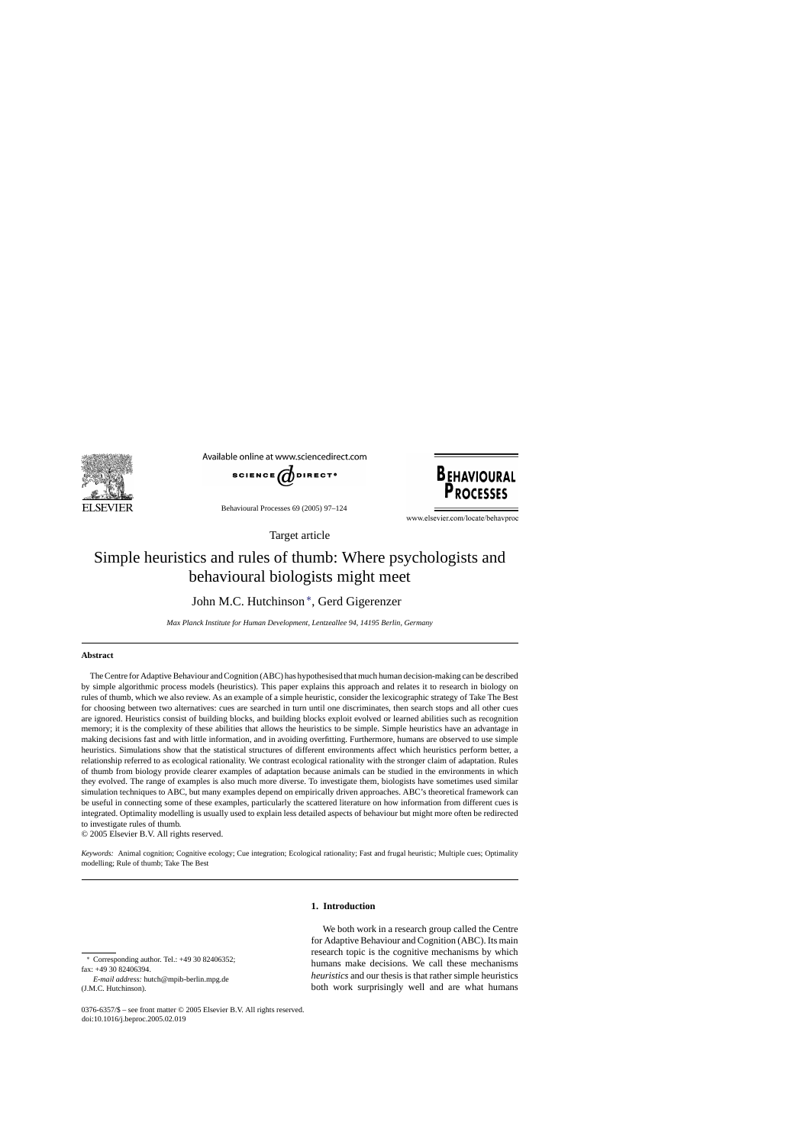

Available online at www.sciencedirect.com



Behavioural Processes 69 (2005) 97–124



www.elsevier.com/locate/behavproc

Target article

# Simple heuristics and rules of thumb: Where psychologists and behavioural biologists might meet

John M.C. Hutchinson ∗, Gerd Gigerenzer

*Max Planck Institute for Human Development, Lentzeallee 94, 14195 Berlin, Germany*

# **Abstract**

The Centre for Adaptive Behaviour and Cognition (ABC) has hypothesised that much human decision-making can be described by simple algorithmic process models (heuristics). This paper explains this approach and relates it to research in biology on rules of thumb, which we also review. As an example of a simple heuristic, consider the lexicographic strategy of Take The Best for choosing between two alternatives: cues are searched in turn until one discriminates, then search stops and all other cues are ignored. Heuristics consist of building blocks, and building blocks exploit evolved or learned abilities such as recognition memory; it is the complexity of these abilities that allows the heuristics to be simple. Simple heuristics have an advantage in making decisions fast and with little information, and in avoiding overfitting. Furthermore, humans are observed to use simple heuristics. Simulations show that the statistical structures of different environments affect which heuristics perform better, a relationship referred to as ecological rationality. We contrast ecological rationality with the stronger claim of adaptation. Rules of thumb from biology provide clearer examples of adaptation because animals can be studied in the environments in which they evolved. The range of examples is also much more diverse. To investigate them, biologists have sometimes used similar simulation techniques to ABC, but many examples depend on empirically driven approaches. ABC's theoretical framework can be useful in connecting some of these examples, particularly the scattered literature on how information from different cues is integrated. Optimality modelling is usually used to explain less detailed aspects of behaviour but might more often be redirected to investigate rules of thumb.

© 2005 Elsevier B.V. All rights reserved.

*Keywords:* Animal cognition; Cognitive ecology; Cue integration; Ecological rationality; Fast and frugal heuristic; Multiple cues; Optimality modelling; Rule of thumb; Take The Best

**1. Introduction**

We both work in a research group called the Centre for Adaptive Behaviour and Cognition (ABC). Its main research topic is the cognitive mechanisms by which humans make decisions. We call these mechanisms *heuristics* and our thesis is that rather simple heuristics both work surprisingly well and are what humans

∗ Corresponding author. Tel.: +49 30 82406352; fax: +49 30 82406394.

*E-mail address:* hutch@mpib-berlin.mpg.de (J.M.C. Hutchinson).

<sup>0376-6357/\$ –</sup> see front matter © 2005 Elsevier B.V. All rights reserved. doi:10.1016/j.beproc.2005.02.019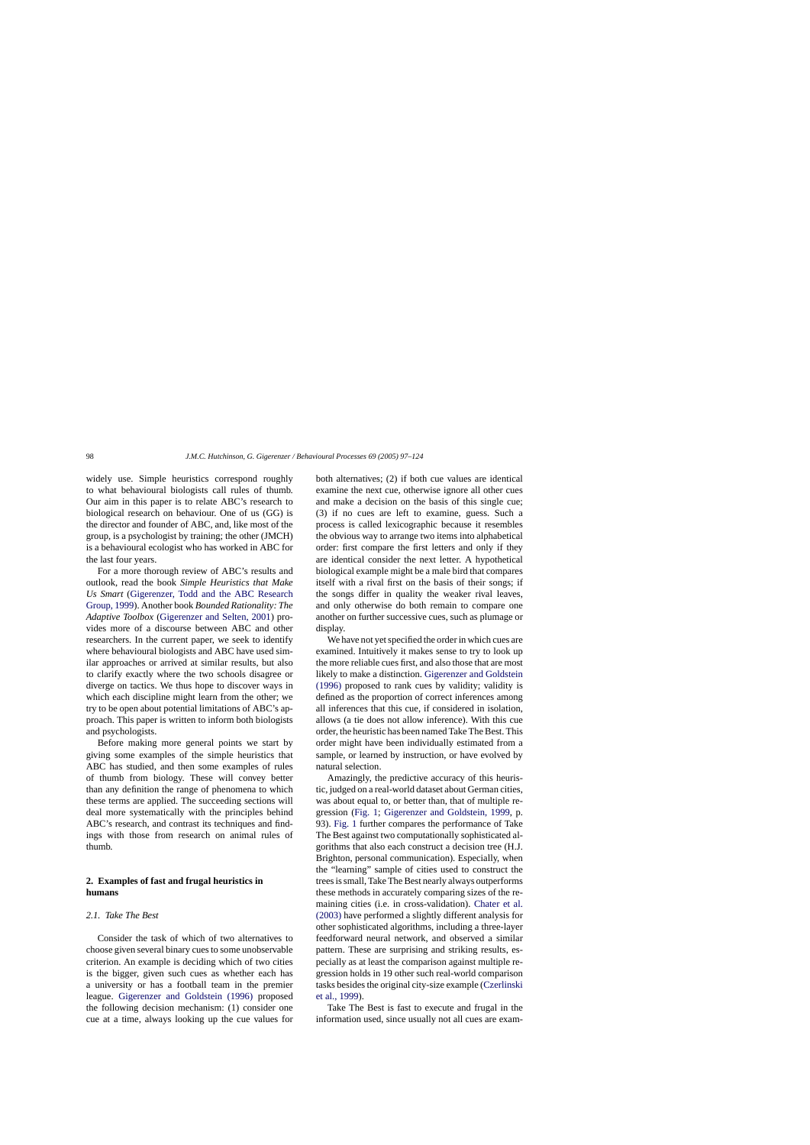<span id="page-1-0"></span>widely use. Simple heuristics correspond roughly to what behavioural biologists call rules of thumb. Our aim in this paper is to relate ABC's research to biological research on behaviour. One of us (GG) is the director and founder of ABC, and, like most of the group, is a psychologist by training; the other (JMCH) is a behavioural ecologist who has worked in ABC for the last four years.

For a more thorough review of ABC's results and outlook, read the book *Simple Heuristics that Make Us Smart* [\(Gigerenzer, Todd and the ABC Research](#page-24-0) [Group, 1999\).](#page-24-0) Another book *Bounded Rationality: The Adaptive Toolbox* [\(Gigerenzer and Selten, 2001\)](#page-24-0) provides more of a discourse between ABC and other researchers. In the current paper, we seek to identify where behavioural biologists and ABC have used similar approaches or arrived at similar results, but also to clarify exactly where the two schools disagree or diverge on tactics. We thus hope to discover ways in which each discipline might learn from the other; we try to be open about potential limitations of ABC's approach. This paper is written to inform both biologists and psychologists.

Before making more general points we start by giving some examples of the simple heuristics that ABC has studied, and then some examples of rules of thumb from biology. These will convey better than any definition the range of phenomena to which these terms are applied. The succeeding sections will deal more systematically with the principles behind ABC's research, and contrast its techniques and findings with those from research on animal rules of thumb.

# **2. Examples of fast and frugal heuristics in humans**

# *2.1. Take The Best*

Consider the task of which of two alternatives to choose given several binary cues to some unobservable criterion. An example is deciding which of two cities is the bigger, given such cues as whether each has a university or has a football team in the premier league. [Gigerenzer and Goldstein \(1996\)](#page-24-0) proposed the following decision mechanism: (1) consider one cue at a time, always looking up the cue values for both alternatives; (2) if both cue values are identical examine the next cue, otherwise ignore all other cues and make a decision on the basis of this single cue; (3) if no cues are left to examine, guess. Such a process is called lexicographic because it resembles the obvious way to arrange two items into alphabetical order: first compare the first letters and only if they are identical consider the next letter. A hypothetical biological example might be a male bird that compares itself with a rival first on the basis of their songs; if the songs differ in quality the weaker rival leaves, and only otherwise do both remain to compare one another on further successive cues, such as plumage or display.

We have not yet specified the order in which cues are examined. Intuitively it makes sense to try to look up the more reliable cues first, and also those that are most likely to make a distinction. [Gigerenzer and Goldstein](#page-24-0) [\(1996\)](#page-24-0) proposed to rank cues by validity; validity is defined as the proportion of correct inferences among all inferences that this cue, if considered in isolation, allows (a tie does not allow inference). With this cue order, the heuristic has been named Take The Best. This order might have been individually estimated from a sample, or learned by instruction, or have evolved by natural selection.

Amazingly, the predictive accuracy of this heuristic, judged on a real-world dataset about German cities, was about equal to, or better than, that of multiple regression ([Fig. 1;](#page-2-0) [Gigerenzer and Goldstein, 1999,](#page-24-0) p. 93). [Fig. 1](#page-2-0) further compares the performance of Take The Best against two computationally sophisticated algorithms that also each construct a decision tree (H.J. Brighton, personal communication). Especially, when the "learning" sample of cities used to construct the trees is small, Take The Best nearly always outperforms these methods in accurately comparing sizes of the remaining cities (i.e. in cross-validation). [Chater et al.](#page-23-0) [\(2003\)](#page-23-0) have performed a slightly different analysis for other sophisticated algorithms, including a three-layer feedforward neural network, and observed a similar pattern. These are surprising and striking results, especially as at least the comparison against multiple regression holds in 19 other such real-world comparison tasks besides the original city-size example ([Czerlinski](#page-23-0) [et al., 1999\).](#page-23-0)

Take The Best is fast to execute and frugal in the information used, since usually not all cues are exam-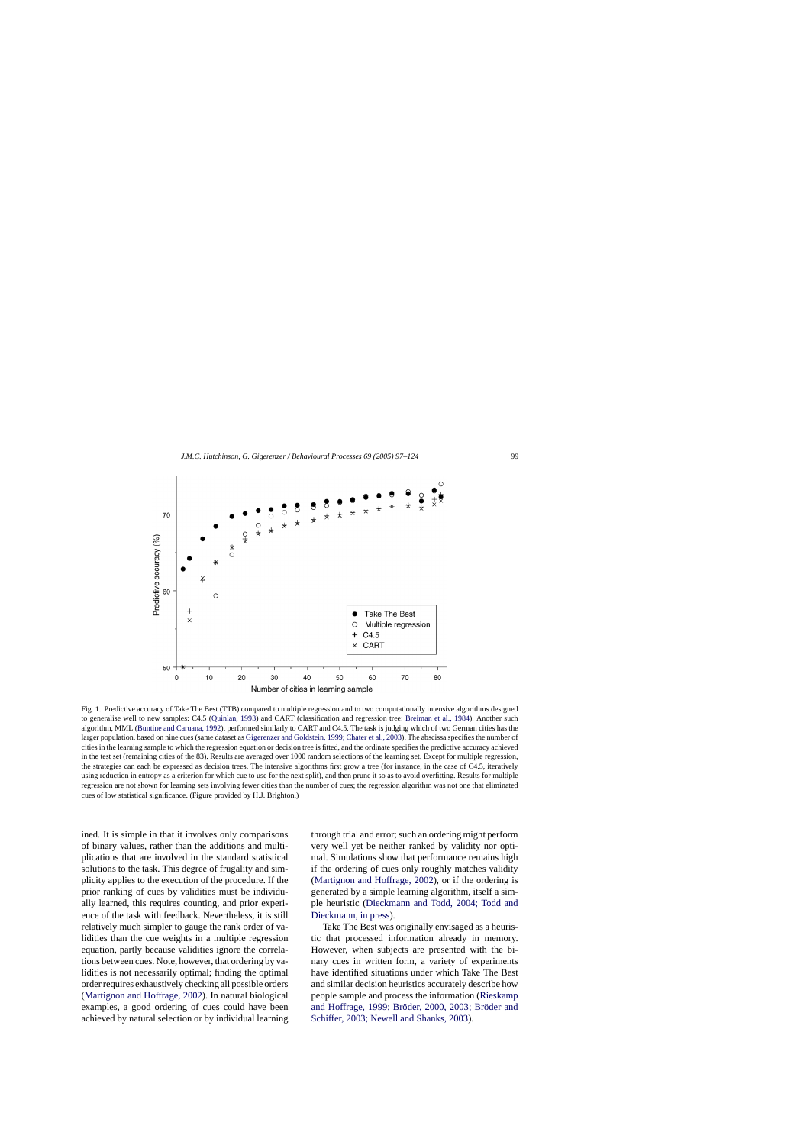<span id="page-2-0"></span>

Fig. 1. Predictive accuracy of Take The Best (TTB) compared to multiple regression and to two computationally intensive algorithms designed to generalise well to new samples: C4.5 [\(Quinlan, 1993\)](#page-26-0) and CART (classification and regression tree: [Breiman et al., 1984\).](#page-23-0) Another such algorithm, MML [\(Buntine and Caruana, 1992\),](#page-23-0) performed similarly to CART and C4.5. The task is judging which of two German cities has the larger population, based on nine cues (same dataset as [Gigerenzer and Goldstein, 1999; Chater et al., 2003\). T](#page-24-0)he abscissa specifies the number of cities in the learning sample to which the regression equation or decision tree is fitted, and the ordinate specifies the predictive accuracy achieved in the test set (remaining cities of the 83). Results are averaged over 1000 random selections of the learning set. Except for multiple regression, the strategies can each be expressed as decision trees. The intensive algorithms first grow a tree (for instance, in the case of C4.5, iteratively using reduction in entropy as a criterion for which cue to use for the next split), and then prune it so as to avoid overfitting. Results for multiple regression are not shown for learning sets involving fewer cities than the number of cues; the regression algorithm was not one that eliminated cues of low statistical significance. (Figure provided by H.J. Brighton.)

ined. It is simple in that it involves only comparisons of binary values, rather than the additions and multiplications that are involved in the standard statistical solutions to the task. This degree of frugality and simplicity applies to the execution of the procedure. If the prior ranking of cues by validities must be individually learned, this requires counting, and prior experience of the task with feedback. Nevertheless, it is still relatively much simpler to gauge the rank order of validities than the cue weights in a multiple regression equation, partly because validities ignore the correlations between cues. Note, however, that ordering by validities is not necessarily optimal; finding the optimal order requires exhaustively checking all possible orders ([Martignon and Hoffrage, 2002\).](#page-25-0) In natural biological examples, a good ordering of cues could have been achieved by natural selection or by individual learning through trial and error; such an ordering might perform very well yet be neither ranked by validity nor optimal. Simulations show that performance remains high if the ordering of cues only roughly matches validity [\(Martignon and Hoffrage, 2002\)](#page-25-0), or if the ordering is generated by a simple learning algorithm, itself a simple heuristic ([Dieckmann and Todd, 2004; Todd and](#page-23-0) [Dieckmann, in press\).](#page-23-0)

Take The Best was originally envisaged as a heuristic that processed information already in memory. However, when subjects are presented with the binary cues in written form, a variety of experiments have identified situations under which Take The Best and similar decision heuristics accurately describe how people sample and process the information [\(Rieskamp](#page-26-0) and Hoffrage, 1999; Bröder, 2000, 2003; Bröder and [Schiffer, 2003; Newell and Shanks, 2003\).](#page-26-0)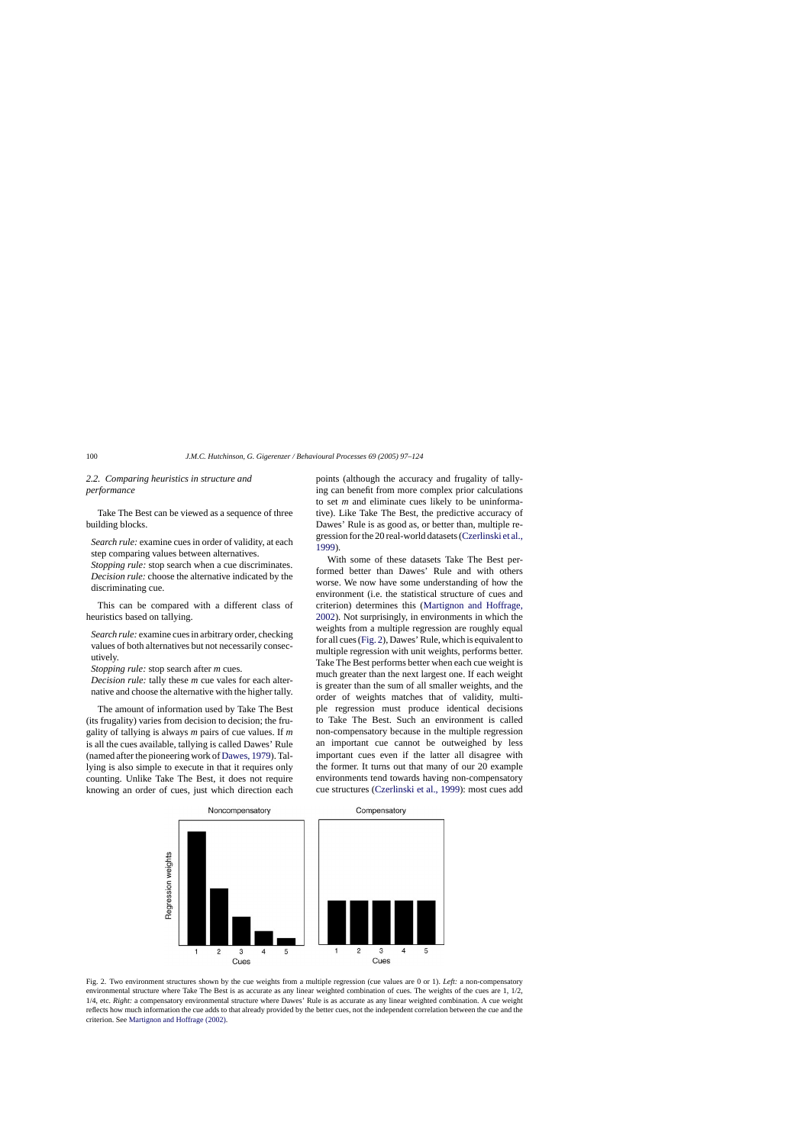# <span id="page-3-0"></span>*2.2. Comparing heuristics in structure and performance*

Take The Best can be viewed as a sequence of three building blocks.

*Search rule:* examine cues in order of validity, at each step comparing values between alternatives.

*Stopping rule:* stop search when a cue discriminates. *Decision rule:* choose the alternative indicated by the discriminating cue.

This can be compared with a different class of heuristics based on tallying.

*Search rule:* examine cues in arbitrary order, checking values of both alternatives but not necessarily consecutively.

*Stopping rule:* stop search after *m* cues.

*Decision rule:* tally these *m* cue vales for each alternative and choose the alternative with the higher tally.

The amount of information used by Take The Best (its frugality) varies from decision to decision; the frugality of tallying is always *m* pairs of cue values. If *m* is all the cues available, tallying is called Dawes' Rule (named after the pioneering work of [Dawes, 1979\).](#page-23-0) Tallying is also simple to execute in that it requires only counting. Unlike Take The Best, it does not require knowing an order of cues, just which direction each points (although the accuracy and frugality of tallying can benefit from more complex prior calculations to set *m* and eliminate cues likely to be uninformative). Like Take The Best, the predictive accuracy of Dawes' Rule is as good as, or better than, multiple regression for the 20 real-world datasets ([Czerlinski et al.,](#page-23-0) [1999\).](#page-23-0)

With some of these datasets Take The Best performed better than Dawes' Rule and with others worse. We now have some understanding of how the environment (i.e. the statistical structure of cues and criterion) determines this [\(Martignon and Hoffrage,](#page-25-0) [2002\).](#page-25-0) Not surprisingly, in environments in which the weights from a multiple regression are roughly equal for all cues (Fig. 2), Dawes' Rule, which is equivalent to multiple regression with unit weights, performs better. Take The Best performs better when each cue weight is much greater than the next largest one. If each weight is greater than the sum of all smaller weights, and the order of weights matches that of validity, multiple regression must produce identical decisions to Take The Best. Such an environment is called non-compensatory because in the multiple regression an important cue cannot be outweighed by less important cues even if the latter all disagree with the former. It turns out that many of our 20 example environments tend towards having non-compensatory cue structures ([Czerlinski et al., 1999\):](#page-23-0) most cues add



Fig. 2. Two environment structures shown by the cue weights from a multiple regression (cue values are 0 or 1). *Left:* a non-compensatory environmental structure where Take The Best is as accurate as any linear weighted combination of cues. The weights of the cues are 1, 1/2, 1/4, etc. *Right:* a compensatory environmental structure where Dawes' Rule is as accurate as any linear weighted combination. A cue weight reflects how much information the cue adds to that already provided by the better cues, not the independent correlation between the cue and the criterion. See [Martignon and Hoffrage \(2002\).](#page-25-0)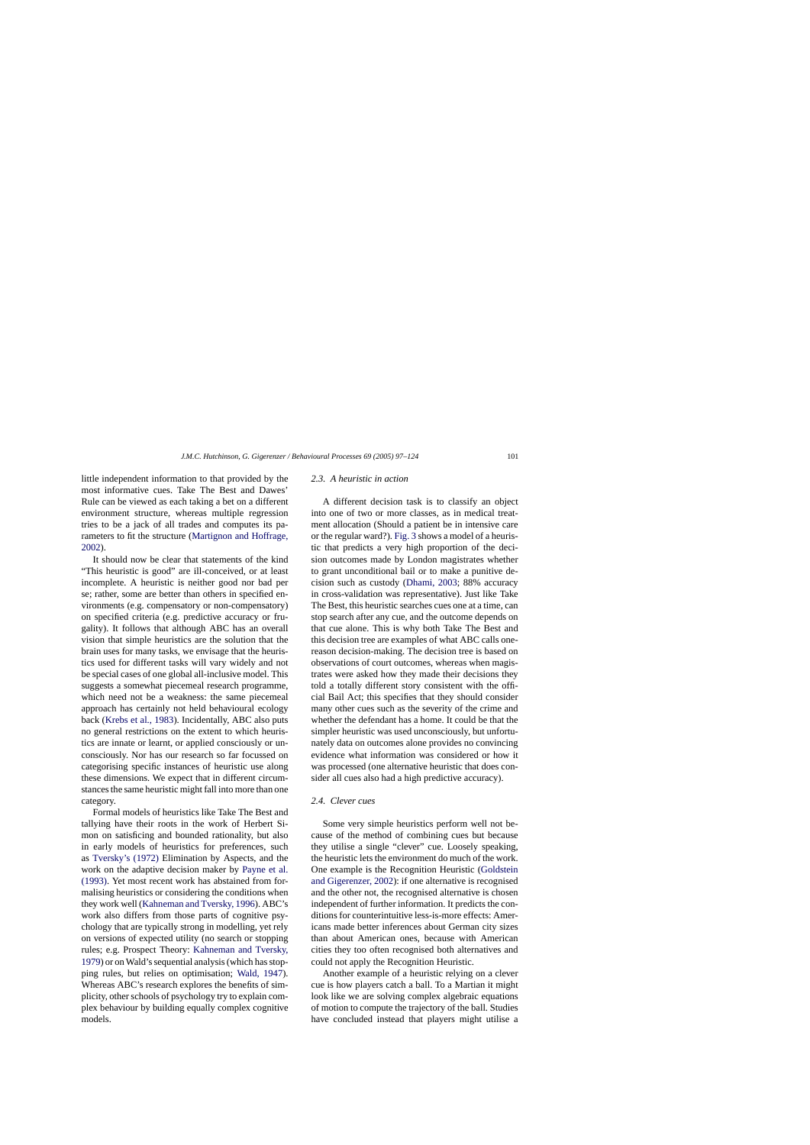little independent information to that provided by the most informative cues. Take The Best and Dawes' Rule can be viewed as each taking a bet on a different environment structure, whereas multiple regression tries to be a jack of all trades and computes its parameters to fit the structure ([Martignon and Hoffrage,](#page-25-0) [2002\).](#page-25-0)

It should now be clear that statements of the kind "This heuristic is good" are ill-conceived, or at least incomplete. A heuristic is neither good nor bad per se; rather, some are better than others in specified environments (e.g. compensatory or non-compensatory) on specified criteria (e.g. predictive accuracy or frugality). It follows that although ABC has an overall vision that simple heuristics are the solution that the brain uses for many tasks, we envisage that the heuristics used for different tasks will vary widely and not be special cases of one global all-inclusive model. This suggests a somewhat piecemeal research programme, which need not be a weakness: the same piecemeal approach has certainly not held behavioural ecology back [\(Krebs et al., 1983\).](#page-25-0) Incidentally, ABC also puts no general restrictions on the extent to which heuristics are innate or learnt, or applied consciously or unconsciously. Nor has our research so far focussed on categorising specific instances of heuristic use along these dimensions. We expect that in different circumstances the same heuristic might fall into more than one category.

Formal models of heuristics like Take The Best and tallying have their roots in the work of Herbert Simon on satisficing and bounded rationality, but also in early models of heuristics for preferences, such as [Tversky's \(1972\)](#page-26-0) Elimination by Aspects, and the work on the adaptive decision maker by [Payne et al.](#page-25-0) [\(1993\).](#page-25-0) Yet most recent work has abstained from formalising heuristics or considering the conditions when they work well ([Kahneman and Tversky, 1996\).](#page-25-0) ABC's work also differs from those parts of cognitive psychology that are typically strong in modelling, yet rely on versions of expected utility (no search or stopping rules; e.g. Prospect Theory: [Kahneman and Tversky,](#page-25-0) [1979\) o](#page-25-0)r on Wald's sequential analysis (which has stopping rules, but relies on optimisation; [Wald, 1947\)](#page-27-0). Whereas ABC's research explores the benefits of simplicity, other schools of psychology try to explain complex behaviour by building equally complex cognitive models.

# *2.3. A heuristic in action*

A different decision task is to classify an object into one of two or more classes, as in medical treatment allocation (Should a patient be in intensive care or the regular ward?). [Fig. 3](#page-5-0) shows a model of a heuristic that predicts a very high proportion of the decision outcomes made by London magistrates whether to grant unconditional bail or to make a punitive decision such as custody ([Dhami, 2003;](#page-23-0) 88% accuracy in cross-validation was representative). Just like Take The Best, this heuristic searches cues one at a time, can stop search after any cue, and the outcome depends on that cue alone. This is why both Take The Best and this decision tree are examples of what ABC calls onereason decision-making. The decision tree is based on observations of court outcomes, whereas when magistrates were asked how they made their decisions they told a totally different story consistent with the official Bail Act; this specifies that they should consider many other cues such as the severity of the crime and whether the defendant has a home. It could be that the simpler heuristic was used unconsciously, but unfortunately data on outcomes alone provides no convincing evidence what information was considered or how it was processed (one alternative heuristic that does consider all cues also had a high predictive accuracy).

## *2.4. Clever cues*

Some very simple heuristics perform well not because of the method of combining cues but because they utilise a single "clever" cue. Loosely speaking, the heuristic lets the environment do much of the work. One example is the Recognition Heuristic [\(Goldstein](#page-24-0) [and Gigerenzer, 2002\):](#page-24-0) if one alternative is recognised and the other not, the recognised alternative is chosen independent of further information. It predicts the conditions for counterintuitive less-is-more effects: Americans made better inferences about German city sizes than about American ones, because with American cities they too often recognised both alternatives and could not apply the Recognition Heuristic.

Another example of a heuristic relying on a clever cue is how players catch a ball. To a Martian it might look like we are solving complex algebraic equations of motion to compute the trajectory of the ball. Studies have concluded instead that players might utilise a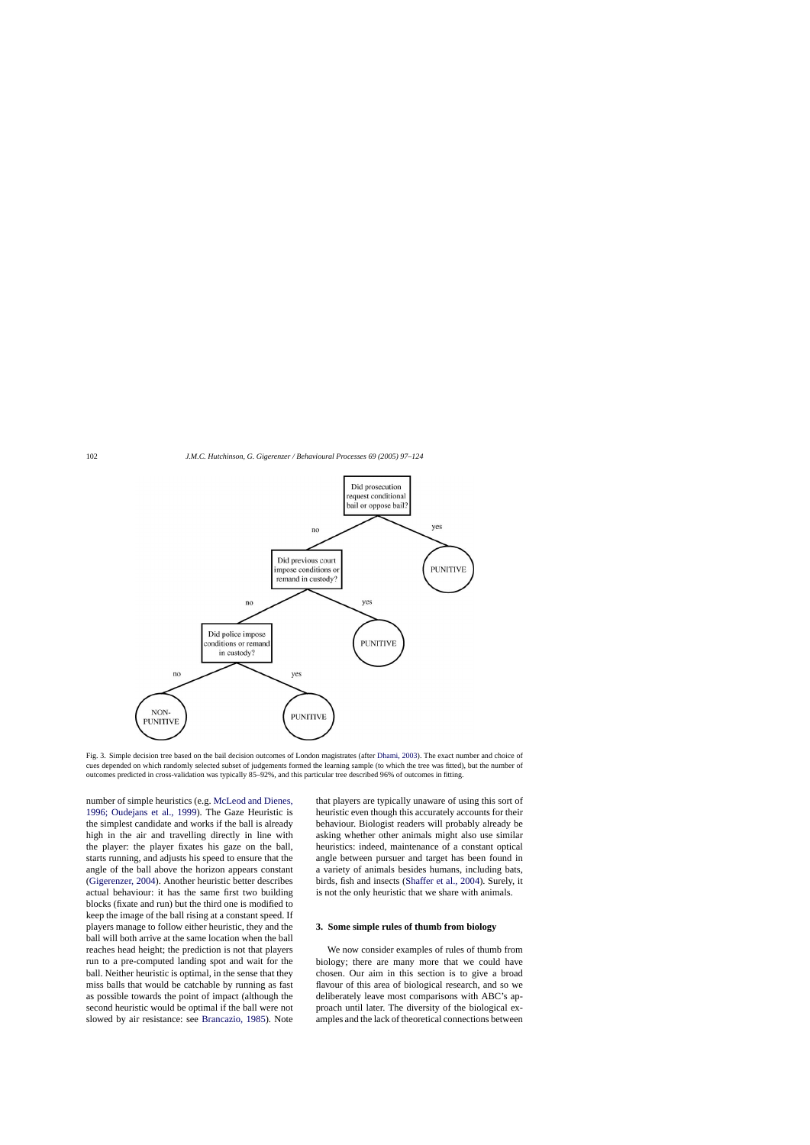<span id="page-5-0"></span>![](_page_5_Figure_1.jpeg)

Fig. 3. Simple decision tree based on the bail decision outcomes of London magistrates (after [Dhami, 2003\).](#page-23-0) The exact number and choice of cues depended on which randomly selected subset of judgements formed the learning sample (to which the tree was fitted), but the number of outcomes predicted in cross-validation was typically 85–92%, and this particular tree described 96% of outcomes in fitting.

number of simple heuristics (e.g. [McLeod and Dienes,](#page-25-0) [1996; Oudejans et al., 1999](#page-25-0)). The Gaze Heuristic is the simplest candidate and works if the ball is already high in the air and travelling directly in line with the player: the player fixates his gaze on the ball, starts running, and adjusts his speed to ensure that the angle of the ball above the horizon appears constant ([Gigerenzer, 2004\).](#page-24-0) Another heuristic better describes actual behaviour: it has the same first two building blocks (fixate and run) but the third one is modified to keep the image of the ball rising at a constant speed. If players manage to follow either heuristic, they and the ball will both arrive at the same location when the ball reaches head height; the prediction is not that players run to a pre-computed landing spot and wait for the ball. Neither heuristic is optimal, in the sense that they miss balls that would be catchable by running as fast as possible towards the point of impact (although the second heuristic would be optimal if the ball were not slowed by air resistance: see [Brancazio, 1985\).](#page-23-0) Note

that players are typically unaware of using this sort of heuristic even though this accurately accounts for their behaviour. Biologist readers will probably already be asking whether other animals might also use similar heuristics: indeed, maintenance of a constant optical angle between pursuer and target has been found in a variety of animals besides humans, including bats, birds, fish and insects ([Shaffer et al., 2004\).](#page-26-0) Surely, it is not the only heuristic that we share with animals.

### **3. Some simple rules of thumb from biology**

We now consider examples of rules of thumb from biology; there are many more that we could have chosen. Our aim in this section is to give a broad flavour of this area of biological research, and so we deliberately leave most comparisons with ABC's approach until later. The diversity of the biological examples and the lack of theoretical connections between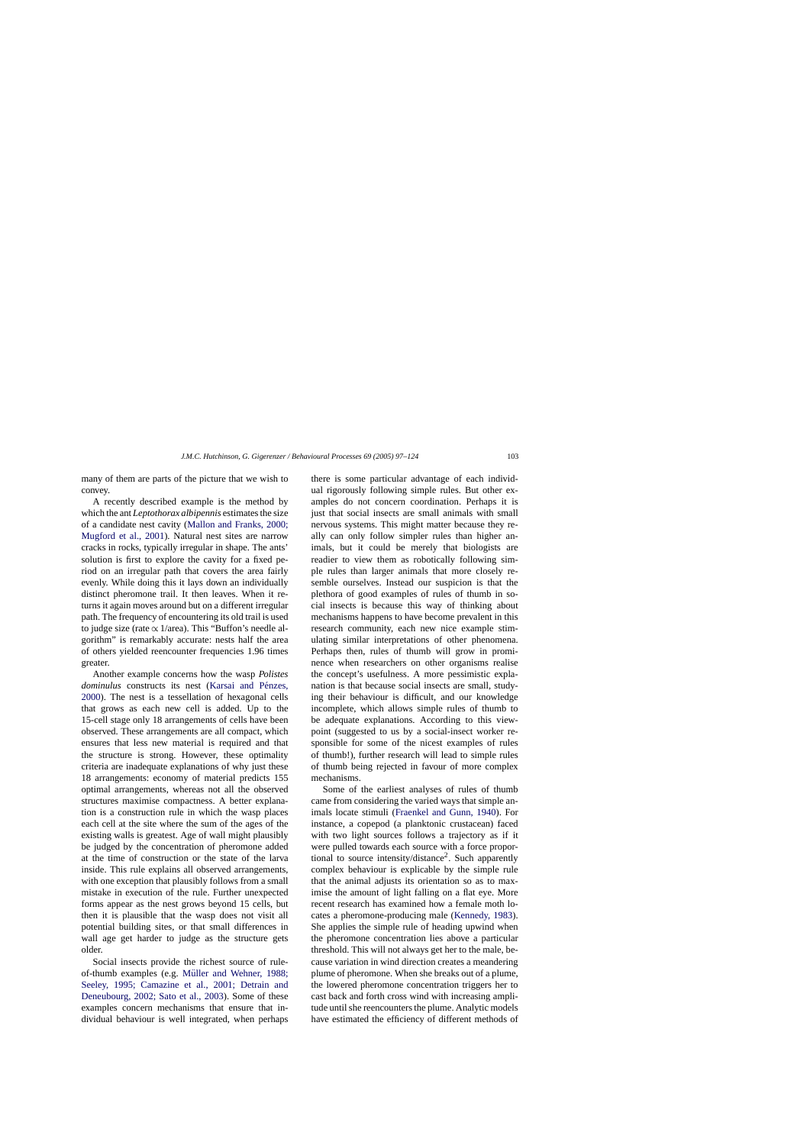many of them are parts of the picture that we wish to convey.

A recently described example is the method by which the ant *Leptothorax albipennis* estimates the size of a candidate nest cavity ([Mallon and Franks, 2000;](#page-25-0) [Mugford et al., 2001\)](#page-25-0). Natural nest sites are narrow cracks in rocks, typically irregular in shape. The ants' solution is first to explore the cavity for a fixed period on an irregular path that covers the area fairly evenly. While doing this it lays down an individually distinct pheromone trail. It then leaves. When it returns it again moves around but on a different irregular path. The frequency of encountering its old trail is used to judge size (rate  $\propto$  1/area). This "Buffon's needle algorithm" is remarkably accurate: nests half the area of others yielded reencounter frequencies 1.96 times greater.

Another example concerns how the wasp *Polistes dominulus* constructs its nest (Karsai and Pénzes, [2000\).](#page-25-0) The nest is a tessellation of hexagonal cells that grows as each new cell is added. Up to the 15-cell stage only 18 arrangements of cells have been observed. These arrangements are all compact, which ensures that less new material is required and that the structure is strong. However, these optimality criteria are inadequate explanations of why just these 18 arrangements: economy of material predicts 155 optimal arrangements, whereas not all the observed structures maximise compactness. A better explanation is a construction rule in which the wasp places each cell at the site where the sum of the ages of the existing walls is greatest. Age of wall might plausibly be judged by the concentration of pheromone added at the time of construction or the state of the larva inside. This rule explains all observed arrangements, with one exception that plausibly follows from a small mistake in execution of the rule. Further unexpected forms appear as the nest grows beyond 15 cells, but then it is plausible that the wasp does not visit all potential building sites, or that small differences in wall age get harder to judge as the structure gets older.

Social insects provide the richest source of ruleof-thumb examples (e.g. Müller and Wehner, 1988; [Seeley, 1995; Camazine et al., 2001; Detrain and](#page-25-0) [Deneubourg, 2002; Sato et al., 2003\)](#page-25-0). Some of these examples concern mechanisms that ensure that individual behaviour is well integrated, when perhaps

there is some particular advantage of each individual rigorously following simple rules. But other examples do not concern coordination. Perhaps it is just that social insects are small animals with small nervous systems. This might matter because they really can only follow simpler rules than higher animals, but it could be merely that biologists are readier to view them as robotically following simple rules than larger animals that more closely resemble ourselves. Instead our suspicion is that the plethora of good examples of rules of thumb in social insects is because this way of thinking about mechanisms happens to have become prevalent in this research community, each new nice example stimulating similar interpretations of other phenomena. Perhaps then, rules of thumb will grow in prominence when researchers on other organisms realise the concept's usefulness. A more pessimistic explanation is that because social insects are small, studying their behaviour is difficult, and our knowledge incomplete, which allows simple rules of thumb to be adequate explanations. According to this viewpoint (suggested to us by a social-insect worker responsible for some of the nicest examples of rules of thumb!), further research will lead to simple rules of thumb being rejected in favour of more complex mechanisms.

Some of the earliest analyses of rules of thumb came from considering the varied ways that simple animals locate stimuli [\(Fraenkel and Gunn, 1940\)](#page-24-0). For instance, a copepod (a planktonic crustacean) faced with two light sources follows a trajectory as if it were pulled towards each source with a force proportional to source intensity/distance<sup>2</sup>. Such apparently complex behaviour is explicable by the simple rule that the animal adjusts its orientation so as to maximise the amount of light falling on a flat eye. More recent research has examined how a female moth locates a pheromone-producing male [\(Kennedy, 1983\).](#page-25-0) She applies the simple rule of heading upwind when the pheromone concentration lies above a particular threshold. This will not always get her to the male, because variation in wind direction creates a meandering plume of pheromone. When she breaks out of a plume, the lowered pheromone concentration triggers her to cast back and forth cross wind with increasing amplitude until she reencounters the plume. Analytic models have estimated the efficiency of different methods of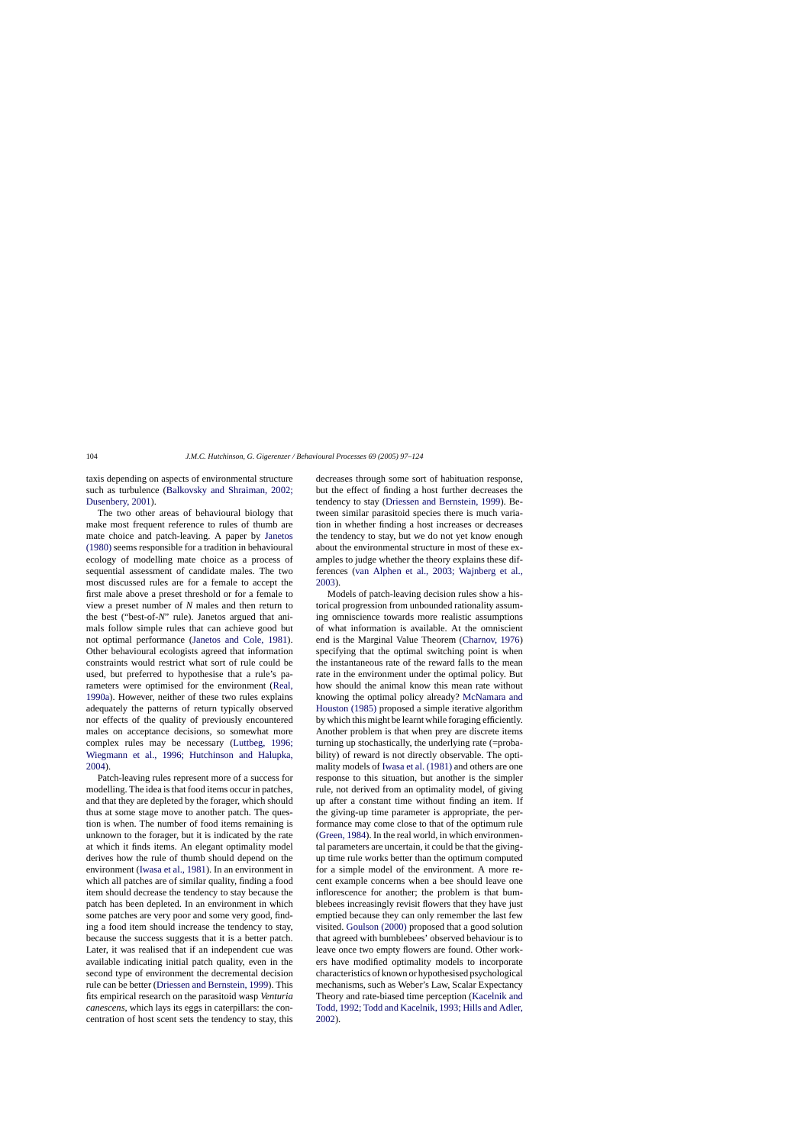taxis depending on aspects of environmental structure such as turbulence [\(Balkovsky and Shraiman, 2002;](#page-22-0) [Dusenbery, 2001\).](#page-22-0)

The two other areas of behavioural biology that make most frequent reference to rules of thumb are mate choice and patch-leaving. A paper by [Janetos](#page-24-0) [\(1980\)](#page-24-0) seems responsible for a tradition in behavioural ecology of modelling mate choice as a process of sequential assessment of candidate males. The two most discussed rules are for a female to accept the first male above a preset threshold or for a female to view a preset number of *N* males and then return to the best ("best-of-*N*" rule). Janetos argued that animals follow simple rules that can achieve good but not optimal performance [\(Janetos and Cole, 1981](#page-24-0)). Other behavioural ecologists agreed that information constraints would restrict what sort of rule could be used, but preferred to hypothesise that a rule's parameters were optimised for the environment ([Real,](#page-26-0) [1990a\).](#page-26-0) However, neither of these two rules explains adequately the patterns of return typically observed nor effects of the quality of previously encountered males on acceptance decisions, so somewhat more complex rules may be necessary ([Luttbeg, 1996;](#page-25-0) [Wiegmann et al., 1996; Hutchinson and Halupka,](#page-25-0) [2004\).](#page-25-0)

Patch-leaving rules represent more of a success for modelling. The idea is that food items occur in patches, and that they are depleted by the forager, which should thus at some stage move to another patch. The question is when. The number of food items remaining is unknown to the forager, but it is indicated by the rate at which it finds items. An elegant optimality model derives how the rule of thumb should depend on the environment [\(Iwasa et al., 1981\).](#page-24-0) In an environment in which all patches are of similar quality, finding a food item should decrease the tendency to stay because the patch has been depleted. In an environment in which some patches are very poor and some very good, finding a food item should increase the tendency to stay, because the success suggests that it is a better patch. Later, it was realised that if an independent cue was available indicating initial patch quality, even in the second type of environment the decremental decision rule can be better ([Driessen and Bernstein, 1999\).](#page-23-0) This fits empirical research on the parasitoid wasp *Venturia canescens*, which lays its eggs in caterpillars: the concentration of host scent sets the tendency to stay, this decreases through some sort of habituation response, but the effect of finding a host further decreases the tendency to stay [\(Driessen and Bernstein, 1999\)](#page-23-0). Between similar parasitoid species there is much variation in whether finding a host increases or decreases the tendency to stay, but we do not yet know enough about the environmental structure in most of these examples to judge whether the theory explains these differences ([van Alphen et al., 2003; Wajnberg et a](#page-26-0)l., [2003\).](#page-26-0)

Models of patch-leaving decision rules show a historical progression from unbounded rationality assuming omniscience towards more realistic assumptions of what information is available. At the omniscient end is the Marginal Value Theorem [\(Charnov, 1976\)](#page-23-0) specifying that the optimal switching point is when the instantaneous rate of the reward falls to the mean rate in the environment under the optimal policy. But how should the animal know this mean rate without knowing the optimal policy already? [McNamara and](#page-25-0) [Houston \(1985\)](#page-25-0) proposed a simple iterative algorithm by which this might be learnt while foraging efficiently. Another problem is that when prey are discrete items turning up stochastically, the underlying rate (=probability) of reward is not directly observable. The optimality models of [Iwasa et al. \(1981\)](#page-24-0) and others are one response to this situation, but another is the simpler rule, not derived from an optimality model, of giving up after a constant time without finding an item. If the giving-up time parameter is appropriate, the performance may come close to that of the optimum rule ([Green, 1984\).](#page-24-0) In the real world, in which environmental parameters are uncertain, it could be that the givingup time rule works better than the optimum computed for a simple model of the environment. A more recent example concerns when a bee should leave one inflorescence for another; the problem is that bumblebees increasingly revisit flowers that they have just emptied because they can only remember the last few visited. [Goulson \(2000\)](#page-24-0) proposed that a good solution that agreed with bumblebees' observed behaviour is to leave once two empty flowers are found. Other workers have modified optimality models to incorporate characteristics of known or hypothesised psychological mechanisms, such as Weber's Law, Scalar Expectancy Theory and rate-biased time perception [\(Kacelnik and](#page-24-0) [Todd, 1992; Todd and Kacelnik, 1993; Hills and Adler,](#page-24-0) [2002\).](#page-24-0)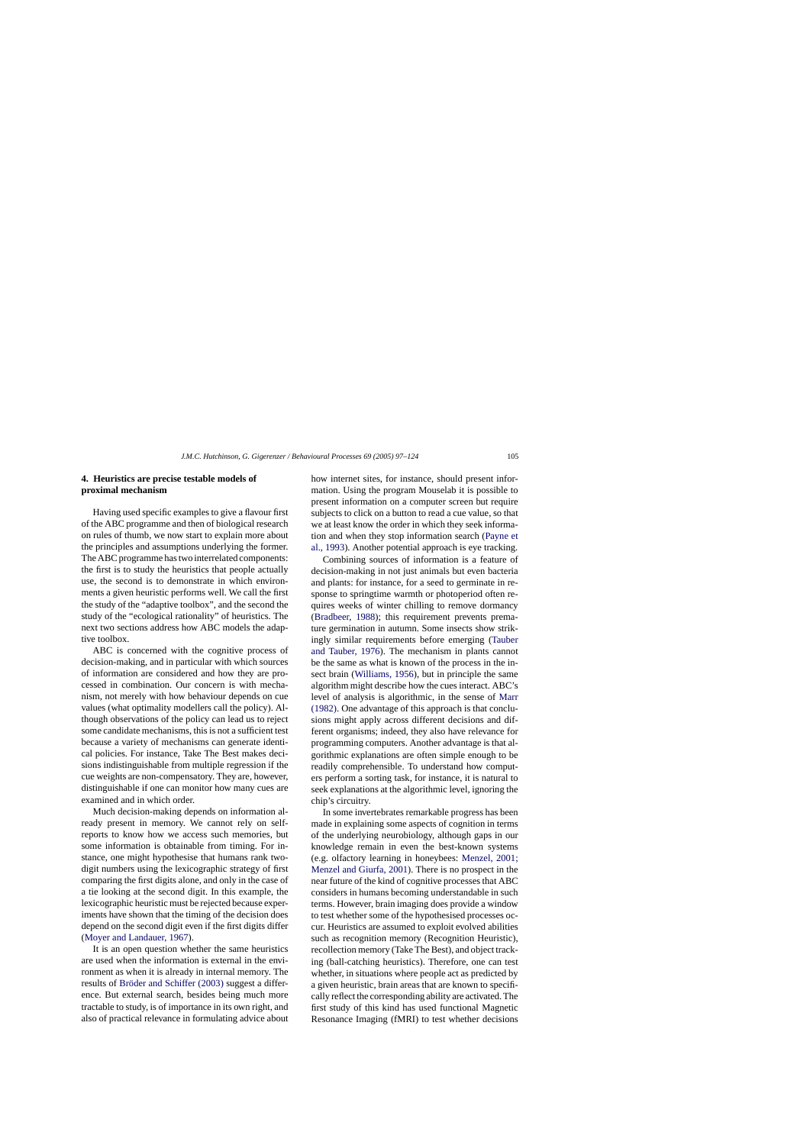# **4. Heuristics are precise testable models of proximal mechanism**

Having used specific examples to give a flavour first of the ABC programme and then of biological research on rules of thumb, we now start to explain more about the principles and assumptions underlying the former. The ABC programme has two interrelated components: the first is to study the heuristics that people actually use, the second is to demonstrate in which environments a given heuristic performs well. We call the first the study of the "adaptive toolbox", and the second the study of the "ecological rationality" of heuristics. The next two sections address how ABC models the adaptive toolbox.

ABC is concerned with the cognitive process of decision-making, and in particular with which sources of information are considered and how they are processed in combination. Our concern is with mechanism, not merely with how behaviour depends on cue values (what optimality modellers call the policy). Although observations of the policy can lead us to reject some candidate mechanisms, this is not a sufficient test because a variety of mechanisms can generate identical policies. For instance, Take The Best makes decisions indistinguishable from multiple regression if the cue weights are non-compensatory. They are, however, distinguishable if one can monitor how many cues are examined and in which order.

Much decision-making depends on information already present in memory. We cannot rely on selfreports to know how we access such memories, but some information is obtainable from timing. For instance, one might hypothesise that humans rank twodigit numbers using the lexicographic strategy of first comparing the first digits alone, and only in the case of a tie looking at the second digit. In this example, the lexicographic heuristic must be rejected because experiments have shown that the timing of the decision does depend on the second digit even if the first digits differ ([Moyer and Landauer, 1967\).](#page-25-0)

It is an open question whether the same heuristics are used when the information is external in the environment as when it is already in internal memory. The results of Bröder and Schiffer (2003) suggest a difference. But external search, besides being much more tractable to study, is of importance in its own right, and also of practical relevance in formulating advice about how internet sites, for instance, should present information. Using the program Mouselab it is possible to present information on a computer screen but require subjects to click on a button to read a cue value, so that we at least know the order in which they seek information and when they stop information search ([Payne et](#page-25-0) [al., 1993\).](#page-25-0) Another potential approach is eye tracking.

Combining sources of information is a feature of decision-making in not just animals but even bacteria and plants: for instance, for a seed to germinate in response to springtime warmth or photoperiod often requires weeks of winter chilling to remove dormancy [\(Bradbeer, 1988\)](#page-23-0); this requirement prevents premature germination in autumn. Some insects show strikingly similar requirements before emerging ([Tauber](#page-26-0) [and Tauber, 1976\)](#page-26-0). The mechanism in plants cannot be the same as what is known of the process in the insect brain ([Williams, 1956\),](#page-27-0) but in principle the same algorithm might describe how the cues interact. ABC's level of analysis is algorithmic, in the sense of [Marr](#page-25-0) [\(1982\).](#page-25-0) One advantage of this approach is that conclusions might apply across different decisions and different organisms; indeed, they also have relevance for programming computers. Another advantage is that algorithmic explanations are often simple enough to be readily comprehensible. To understand how computers perform a sorting task, for instance, it is natural to seek explanations at the algorithmic level, ignoring the chip's circuitry.

In some invertebrates remarkable progress has been made in explaining some aspects of cognition in terms of the underlying neurobiology, although gaps in our knowledge remain in even the best-known systems (e.g. olfactory learning in honeybees: [Menzel, 2001;](#page-25-0) [Menzel and Giurfa, 2001\).](#page-25-0) There is no prospect in the near future of the kind of cognitive processes that ABC considers in humans becoming understandable in such terms. However, brain imaging does provide a window to test whether some of the hypothesised processes occur. Heuristics are assumed to exploit evolved abilities such as recognition memory (Recognition Heuristic), recollection memory (Take The Best), and object tracking (ball-catching heuristics). Therefore, one can test whether, in situations where people act as predicted by a given heuristic, brain areas that are known to specifically reflect the corresponding ability are activated. The first study of this kind has used functional Magnetic Resonance Imaging (fMRI) to test whether decisions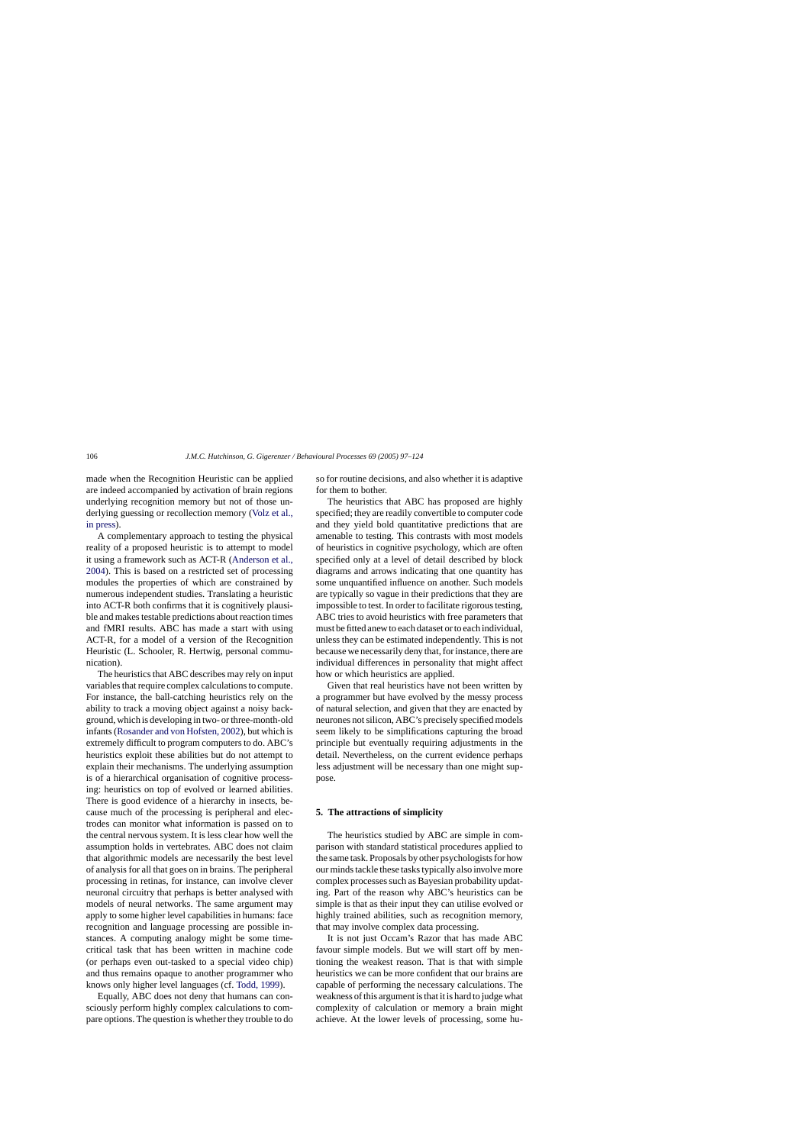made when the Recognition Heuristic can be applied are indeed accompanied by activation of brain regions underlying recognition memory but not of those underlying guessing or recollection memory [\(Volz et al.,](#page-27-0) [in press\).](#page-27-0)

A complementary approach to testing the physical reality of a proposed heuristic is to attempt to model it using a framework such as ACT-R [\(Anderson et al.,](#page-22-0) [2004\).](#page-22-0) This is based on a restricted set of processing modules the properties of which are constrained by numerous independent studies. Translating a heuristic into ACT-R both confirms that it is cognitively plausible and makes testable predictions about reaction times and fMRI results. ABC has made a start with using ACT-R, for a model of a version of the Recognition Heuristic (L. Schooler, R. Hertwig, personal communication).

The heuristics that ABC describes may rely on input variables that require complex calculations to compute. For instance, the ball-catching heuristics rely on the ability to track a moving object against a noisy background, which is developing in two- or three-month-old infants ([Rosander and von Hofsten, 2002\),](#page-26-0) but which is extremely difficult to program computers to do. ABC's heuristics exploit these abilities but do not attempt to explain their mechanisms. The underlying assumption is of a hierarchical organisation of cognitive processing: heuristics on top of evolved or learned abilities. There is good evidence of a hierarchy in insects, because much of the processing is peripheral and electrodes can monitor what information is passed on to the central nervous system. It is less clear how well the assumption holds in vertebrates. ABC does not claim that algorithmic models are necessarily the best level of analysis for all that goes on in brains. The peripheral processing in retinas, for instance, can involve clever neuronal circuitry that perhaps is better analysed with models of neural networks. The same argument may apply to some higher level capabilities in humans: face recognition and language processing are possible instances. A computing analogy might be some timecritical task that has been written in machine code (or perhaps even out-tasked to a special video chip) and thus remains opaque to another programmer who knows only higher level languages (cf. [Todd, 1999\).](#page-26-0)

Equally, ABC does not deny that humans can consciously perform highly complex calculations to compare options. The question is whether they trouble to do so for routine decisions, and also whether it is adaptive for them to bother.

The heuristics that ABC has proposed are highly specified; they are readily convertible to computer code and they yield bold quantitative predictions that are amenable to testing. This contrasts with most models of heuristics in cognitive psychology, which are often specified only at a level of detail described by block diagrams and arrows indicating that one quantity has some unquantified influence on another. Such models are typically so vague in their predictions that they are impossible to test. In order to facilitate rigorous testing, ABC tries to avoid heuristics with free parameters that must be fitted anew to each dataset or to each individual, unless they can be estimated independently. This is not because we necessarily deny that, for instance, there are individual differences in personality that might affect how or which heuristics are applied.

Given that real heuristics have not been written by a programmer but have evolved by the messy process of natural selection, and given that they are enacted by neurones not silicon, ABC's precisely specified models seem likely to be simplifications capturing the broad principle but eventually requiring adjustments in the detail. Nevertheless, on the current evidence perhaps less adjustment will be necessary than one might suppose.

# **5. The attractions of simplicity**

The heuristics studied by ABC are simple in comparison with standard statistical procedures applied to the same task. Proposals by other psychologists for how our minds tackle these tasks typically also involve more complex processes such as Bayesian probability updating. Part of the reason why ABC's heuristics can be simple is that as their input they can utilise evolved or highly trained abilities, such as recognition memory, that may involve complex data processing.

It is not just Occam's Razor that has made ABC favour simple models. But we will start off by mentioning the weakest reason. That is that with simple heuristics we can be more confident that our brains are capable of performing the necessary calculations. The weakness of this argument is that it is hard to judge what complexity of calculation or memory a brain might achieve. At the lower levels of processing, some hu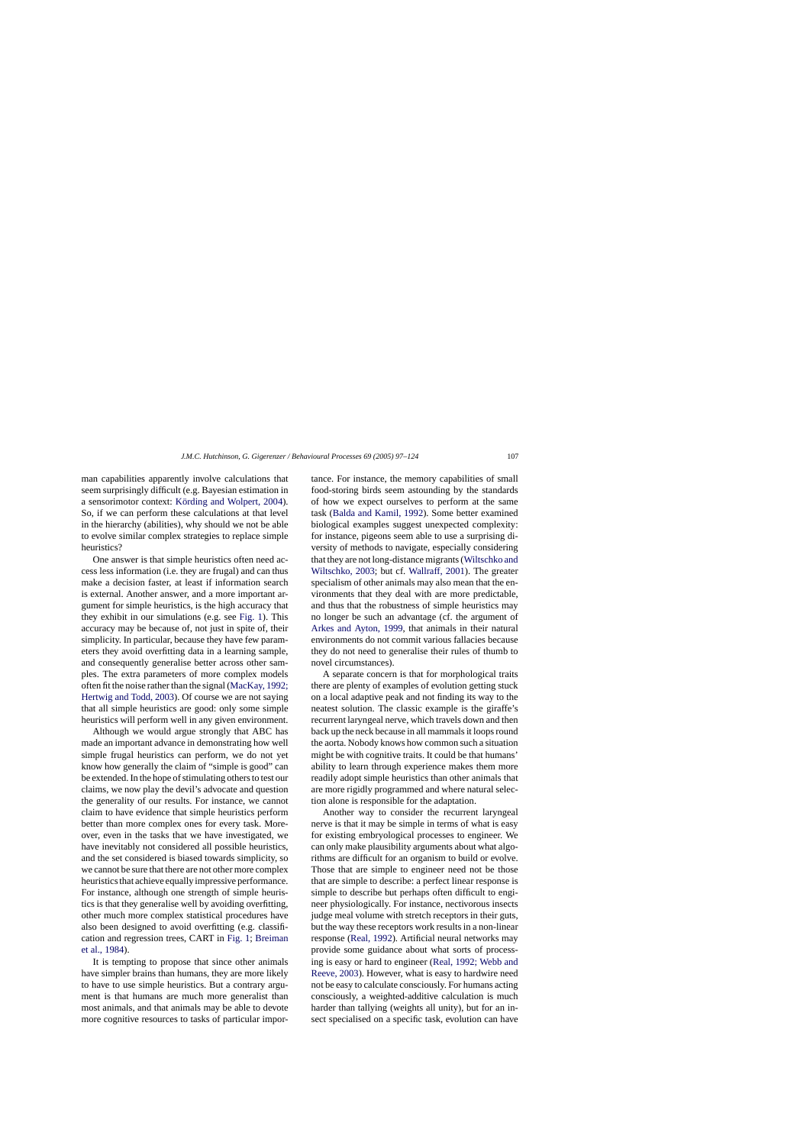man capabilities apparently involve calculations that seem surprisingly difficult (e.g. Bayesian estimation in a sensorimotor context: Körding and Wolpert, 2004). So, if we can perform these calculations at that level in the hierarchy (abilities), why should we not be able to evolve similar complex strategies to replace simple heuristics?

One answer is that simple heuristics often need access less information (i.e. they are frugal) and can thus make a decision faster, at least if information search is external. Another answer, and a more important argument for simple heuristics, is the high accuracy that they exhibit in our simulations (e.g. see [Fig. 1\).](#page-2-0) This accuracy may be because of, not just in spite of, their simplicity. In particular, because they have few parameters they avoid overfitting data in a learning sample, and consequently generalise better across other samples. The extra parameters of more complex models often fit the noise rather than the signal [\(MacKay, 1992;](#page-25-0) [Hertwig and Todd, 2003\).](#page-25-0) Of course we are not saying that all simple heuristics are good: only some simple heuristics will perform well in any given environment.

Although we would argue strongly that ABC has made an important advance in demonstrating how well simple frugal heuristics can perform, we do not yet know how generally the claim of "simple is good" can be extended. In the hope of stimulating others to test our claims, we now play the devil's advocate and question the generality of our results. For instance, we cannot claim to have evidence that simple heuristics perform better than more complex ones for every task. Moreover, even in the tasks that we have investigated, we have inevitably not considered all possible heuristics, and the set considered is biased towards simplicity, so we cannot be sure that there are not other more complex heuristics that achieve equally impressive performance. For instance, although one strength of simple heuristics is that they generalise well by avoiding overfitting, other much more complex statistical procedures have also been designed to avoid overfitting (e.g. classification and regression trees, CART in [Fig. 1;](#page-2-0) [Breiman](#page-23-0) [et al., 1984\).](#page-23-0)

It is tempting to propose that since other animals have simpler brains than humans, they are more likely to have to use simple heuristics. But a contrary argument is that humans are much more generalist than most animals, and that animals may be able to devote more cognitive resources to tasks of particular importance. For instance, the memory capabilities of small food-storing birds seem astounding by the standards of how we expect ourselves to perform at the same task [\(Balda and Kamil, 1992\).](#page-22-0) Some better examined biological examples suggest unexpected complexity: for instance, pigeons seem able to use a surprising diversity of methods to navigate, especially considering that they are not long-distance migrants [\(Wiltschko and](#page-27-0) [Wiltschko, 2003;](#page-27-0) but cf. [Wallraff, 2001\).](#page-27-0) The greater specialism of other animals may also mean that the environments that they deal with are more predictable, and thus that the robustness of simple heuristics may no longer be such an advantage (cf. the argument of [Arkes and Ayton, 1999,](#page-22-0) that animals in their natural environments do not commit various fallacies because they do not need to generalise their rules of thumb to novel circumstances).

A separate concern is that for morphological traits there are plenty of examples of evolution getting stuck on a local adaptive peak and not finding its way to the neatest solution. The classic example is the giraffe's recurrent laryngeal nerve, which travels down and then back up the neck because in all mammals it loops round the aorta. Nobody knows how common such a situation might be with cognitive traits. It could be that humans' ability to learn through experience makes them more readily adopt simple heuristics than other animals that are more rigidly programmed and where natural selection alone is responsible for the adaptation.

Another way to consider the recurrent laryngeal nerve is that it may be simple in terms of what is easy for existing embryological processes to engineer. We can only make plausibility arguments about what algorithms are difficult for an organism to build or evolve. Those that are simple to engineer need not be those that are simple to describe: a perfect linear response is simple to describe but perhaps often difficult to engineer physiologically. For instance, nectivorous insects judge meal volume with stretch receptors in their guts, but the way these receptors work results in a non-linear response ([Real, 1992\).](#page-26-0) Artificial neural networks may provide some guidance about what sorts of processing is easy or hard to engineer [\(Real, 1992; Webb and](#page-26-0) [Reeve, 2003\).](#page-26-0) However, what is easy to hardwire need not be easy to calculate consciously. For humans acting consciously, a weighted-additive calculation is much harder than tallying (weights all unity), but for an insect specialised on a specific task, evolution can have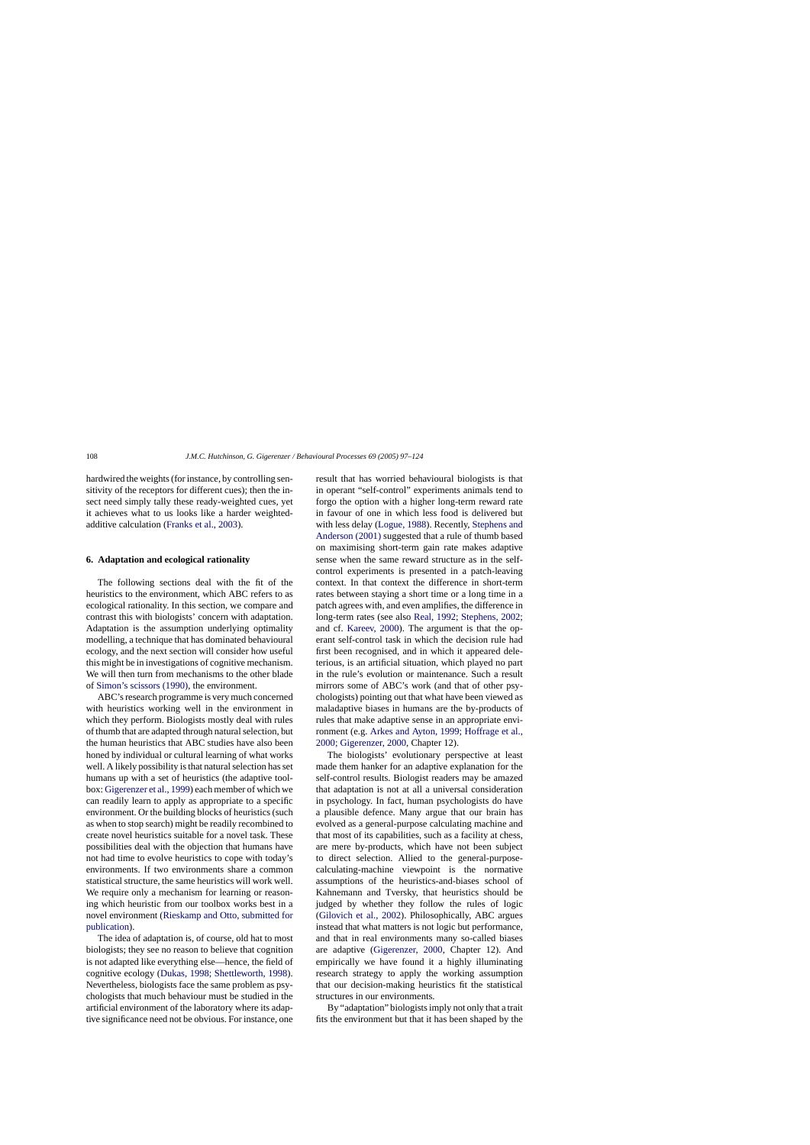hardwired the weights (for instance, by controlling sensitivity of the receptors for different cues); then the insect need simply tally these ready-weighted cues, yet it achieves what to us looks like a harder weightedadditive calculation [\(Franks et al., 2003\).](#page-24-0)

#### **6. Adaptation and ecological rationality**

The following sections deal with the fit of the heuristics to the environment, which ABC refers to as ecological rationality. In this section, we compare and contrast this with biologists' concern with adaptation. Adaptation is the assumption underlying optimality modelling, a technique that has dominated behavioural ecology, and the next section will consider how useful this might be in investigations of cognitive mechanism. We will then turn from mechanisms to the other blade of [Simon's scissors \(1990\), t](#page-26-0)he environment.

ABC's research programme is very much concerned with heuristics working well in the environment in which they perform. Biologists mostly deal with rules of thumb that are adapted through natural selection, but the human heuristics that ABC studies have also been honed by individual or cultural learning of what works well. A likely possibility is that natural selection has set humans up with a set of heuristics (the adaptive toolbox: [Gigerenzer et al., 1999\) e](#page-24-0)ach member of which we can readily learn to apply as appropriate to a specific environment. Or the building blocks of heuristics (such as when to stop search) might be readily recombined to create novel heuristics suitable for a novel task. These possibilities deal with the objection that humans have not had time to evolve heuristics to cope with today's environments. If two environments share a common statistical structure, the same heuristics will work well. We require only a mechanism for learning or reasoning which heuristic from our toolbox works best in a novel environment ([Rieskamp and Otto, submitted for](#page-26-0) [publication\).](#page-26-0)

The idea of adaptation is, of course, old hat to most biologists; they see no reason to believe that cognition is not adapted like everything else—hence, the field of cognitive ecology ([Dukas, 1998; Shettleworth, 1998\).](#page-23-0) Nevertheless, biologists face the same problem as psychologists that much behaviour must be studied in the artificial environment of the laboratory where its adaptive significance need not be obvious. For instance, one

result that has worried behavioural biologists is that in operant "self-control" experiments animals tend to forgo the option with a higher long-term reward rate in favour of one in which less food is delivered but with less delay [\(Logue, 1988\).](#page-25-0) Recently, [Stephens and](#page-26-0) [Anderson \(2001\)](#page-26-0) suggested that a rule of thumb based on maximising short-term gain rate makes adaptive sense when the same reward structure as in the selfcontrol experiments is presented in a patch-leaving context. In that context the difference in short-term rates between staying a short time or a long time in a patch agrees with, and even amplifies, the difference in long-term rates (see also [Real, 1992; Stephens, 2002;](#page-26-0) and cf. [Kareev, 2000\).](#page-25-0) The argument is that the operant self-control task in which the decision rule had first been recognised, and in which it appeared deleterious, is an artificial situation, which played no part in the rule's evolution or maintenance. Such a result mirrors some of ABC's work (and that of other psychologists) pointing out that what have been viewed as maladaptive biases in humans are the by-products of rules that make adaptive sense in an appropriate environment (e.g. [Arkes and Ayton, 1999; Hoffrage et al.,](#page-22-0) [2000; Gigerenzer, 2000, C](#page-22-0)hapter 12).

The biologists' evolutionary perspective at least made them hanker for an adaptive explanation for the self-control results. Biologist readers may be amazed that adaptation is not at all a universal consideration in psychology. In fact, human psychologists do have a plausible defence. Many argue that our brain has evolved as a general-purpose calculating machine and that most of its capabilities, such as a facility at chess, are mere by-products, which have not been subject to direct selection. Allied to the general-purposecalculating-machine viewpoint is the normative assumptions of the heuristics-and-biases school of Kahnemann and Tversky, that heuristics should be judged by whether they follow the rules of logic ([Gilovich et al., 2002\)](#page-24-0). Philosophically, ABC argues instead that what matters is not logic but performance, and that in real environments many so-called biases are adaptive ([Gigerenzer, 2000,](#page-24-0) Chapter 12). And empirically we have found it a highly illuminating research strategy to apply the working assumption that our decision-making heuristics fit the statistical structures in our environments.

By "adaptation" biologists imply not only that a trait fits the environment but that it has been shaped by the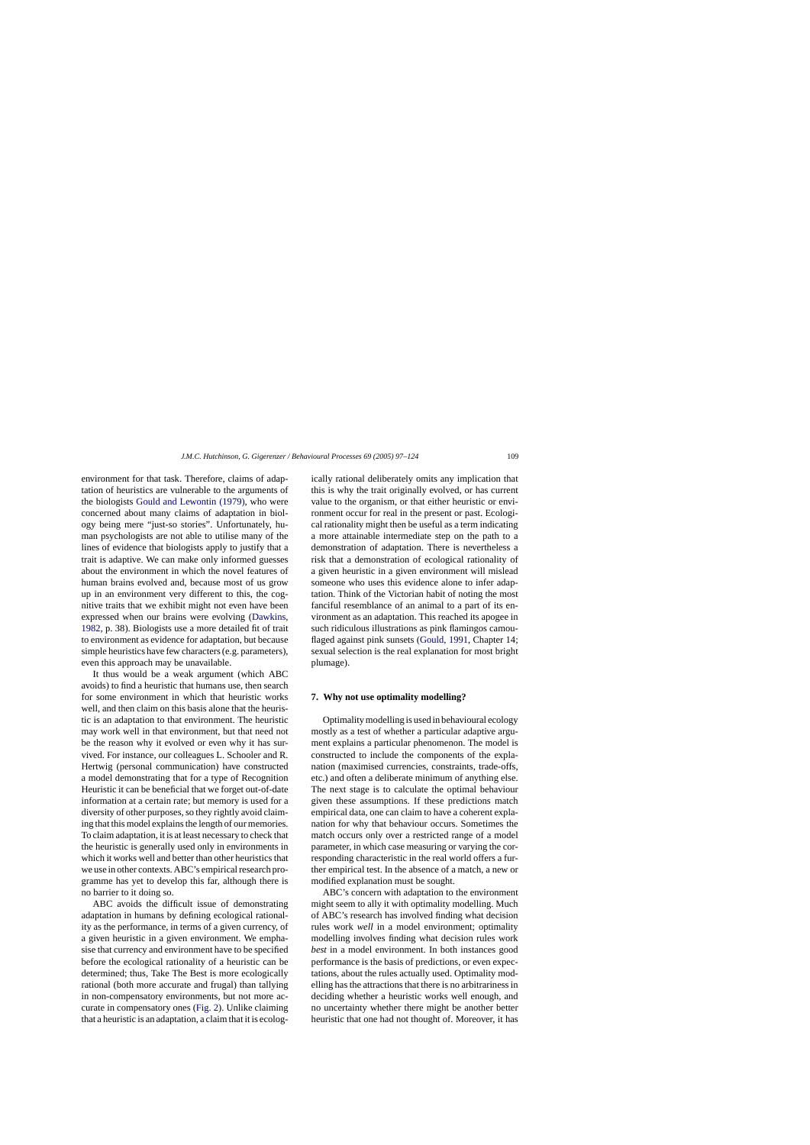environment for that task. Therefore, claims of adaptation of heuristics are vulnerable to the arguments of the biologists [Gould and Lewontin \(1979\),](#page-24-0) who were concerned about many claims of adaptation in biology being mere "just-so stories". Unfortunately, human psychologists are not able to utilise many of the lines of evidence that biologists apply to justify that a trait is adaptive. We can make only informed guesses about the environment in which the novel features of human brains evolved and, because most of us grow up in an environment very different to this, the cognitive traits that we exhibit might not even have been expressed when our brains were evolving [\(Dawkins,](#page-23-0) [1982, p](#page-23-0). 38). Biologists use a more detailed fit of trait to environment as evidence for adaptation, but because simple heuristics have few characters (e.g. parameters), even this approach may be unavailable.

It thus would be a weak argument (which ABC avoids) to find a heuristic that humans use, then search for some environment in which that heuristic works well, and then claim on this basis alone that the heuristic is an adaptation to that environment. The heuristic may work well in that environment, but that need not be the reason why it evolved or even why it has survived. For instance, our colleagues L. Schooler and R. Hertwig (personal communication) have constructed a model demonstrating that for a type of Recognition Heuristic it can be beneficial that we forget out-of-date information at a certain rate; but memory is used for a diversity of other purposes, so they rightly avoid claiming that this model explains the length of our memories. To claim adaptation, it is at least necessary to check that the heuristic is generally used only in environments in which it works well and better than other heuristics that we use in other contexts. ABC's empirical research programme has yet to develop this far, although there is no barrier to it doing so.

ABC avoids the difficult issue of demonstrating adaptation in humans by defining ecological rationality as the performance, in terms of a given currency, of a given heuristic in a given environment. We emphasise that currency and environment have to be specified before the ecological rationality of a heuristic can be determined; thus, Take The Best is more ecologically rational (both more accurate and frugal) than tallying in non-compensatory environments, but not more accurate in compensatory ones [\(Fig. 2\).](#page-3-0) Unlike claiming that a heuristic is an adaptation, a claim that it is ecologically rational deliberately omits any implication that this is why the trait originally evolved, or has current value to the organism, or that either heuristic or environment occur for real in the present or past. Ecological rationality might then be useful as a term indicating a more attainable intermediate step on the path to a demonstration of adaptation. There is nevertheless a risk that a demonstration of ecological rationality of a given heuristic in a given environment will mislead someone who uses this evidence alone to infer adaptation. Think of the Victorian habit of noting the most fanciful resemblance of an animal to a part of its environment as an adaptation. This reached its apogee in such ridiculous illustrations as pink flamingos camou-flaged against pink sunsets ([Gould, 1991, C](#page-24-0)hapter 14; sexual selection is the real explanation for most bright plumage).

#### **7. Why not use optimality modelling?**

Optimality modelling is used in behavioural ecology mostly as a test of whether a particular adaptive argument explains a particular phenomenon. The model is constructed to include the components of the explanation (maximised currencies, constraints, trade-offs, etc.) and often a deliberate minimum of anything else. The next stage is to calculate the optimal behaviour given these assumptions. If these predictions match empirical data, one can claim to have a coherent explanation for why that behaviour occurs. Sometimes the match occurs only over a restricted range of a model parameter, in which case measuring or varying the corresponding characteristic in the real world offers a further empirical test. In the absence of a match, a new or modified explanation must be sought.

ABC's concern with adaptation to the environment might seem to ally it with optimality modelling. Much of ABC's research has involved finding what decision rules work *well* in a model environment; optimality modelling involves finding what decision rules work *best* in a model environment. In both instances good performance is the basis of predictions, or even expectations, about the rules actually used. Optimality modelling has the attractions that there is no arbitrariness in deciding whether a heuristic works well enough, and no uncertainty whether there might be another better heuristic that one had not thought of. Moreover, it has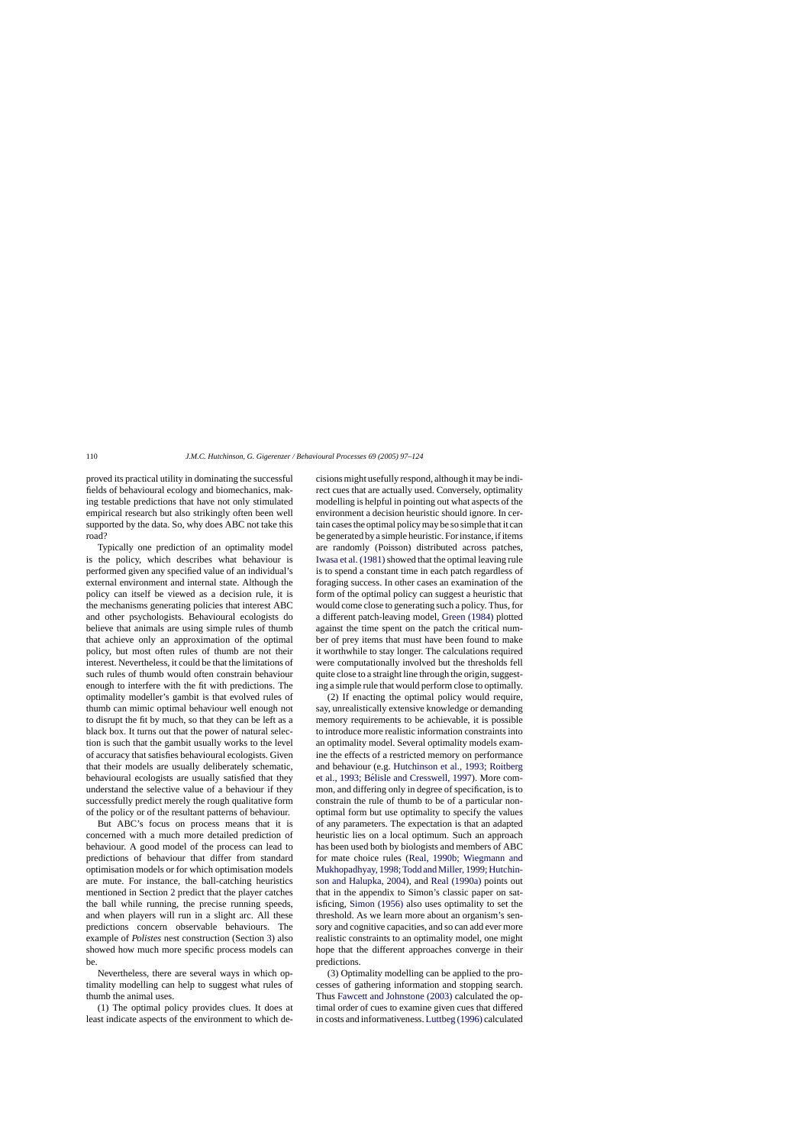proved its practical utility in dominating the successful fields of behavioural ecology and biomechanics, making testable predictions that have not only stimulated empirical research but also strikingly often been well supported by the data. So, why does ABC not take this road?

Typically one prediction of an optimality model is the policy, which describes what behaviour is performed given any specified value of an individual's external environment and internal state. Although the policy can itself be viewed as a decision rule, it is the mechanisms generating policies that interest ABC and other psychologists. Behavioural ecologists do believe that animals are using simple rules of thumb that achieve only an approximation of the optimal policy, but most often rules of thumb are not their interest. Nevertheless, it could be that the limitations of such rules of thumb would often constrain behaviour enough to interfere with the fit with predictions. The optimality modeller's gambit is that evolved rules of thumb can mimic optimal behaviour well enough not to disrupt the fit by much, so that they can be left as a black box. It turns out that the power of natural selection is such that the gambit usually works to the level of accuracy that satisfies behavioural ecologists. Given that their models are usually deliberately schematic, behavioural ecologists are usually satisfied that they understand the selective value of a behaviour if they successfully predict merely the rough qualitative form of the policy or of the resultant patterns of behaviour.

But ABC's focus on process means that it is concerned with a much more detailed prediction of behaviour. A good model of the process can lead to predictions of behaviour that differ from standard optimisation models or for which optimisation models are mute. For instance, the ball-catching heuristics mentioned in Section [2](#page-1-0) predict that the player catches the ball while running, the precise running speeds, and when players will run in a slight arc. All these predictions concern observable behaviours. The example of *Polistes* nest construction (Section [3\)](#page-5-0) also showed how much more specific process models can be.

Nevertheless, there are several ways in which optimality modelling can help to suggest what rules of thumb the animal uses.

(1) The optimal policy provides clues. It does at least indicate aspects of the environment to which decisions might usefully respond, although it may be indirect cues that are actually used. Conversely, optimality modelling is helpful in pointing out what aspects of the environment a decision heuristic should ignore. In certain cases the optimal policy may be so simple that it can be generated by a simple heuristic. For instance, if items are randomly (Poisson) distributed across patches, Iwasa et al. (1981) showed that the optimal leaving rule is to spend a constant time in each patch regardless of foraging success. In other cases an examination of the form of the optimal policy can suggest a heuristic that would come close to generating such a policy. Thus, for a different patch-leaving model, [Green \(1984\)](#page-24-0) plotted against the time spent on the patch the critical number of prey items that must have been found to make it worthwhile to stay longer. The calculations required were computationally involved but the thresholds fell quite close to a straight line through the origin, suggesting a simple rule that would perform close to optimally.

(2) If enacting the optimal policy would require, say, unrealistically extensive knowledge or demanding memory requirements to be achievable, it is possible to introduce more realistic information constraints into an optimality model. Several optimality models examine the effects of a restricted memory on performance and behaviour (e.g. [Hutchinson et al., 1993; Roitberg](#page-24-0) et al., 1993; Bélisle and Cresswell, 1997). More common, and differing only in degree of specification, is to constrain the rule of thumb to be of a particular nonoptimal form but use optimality to specify the values of any parameters. The expectation is that an adapted heuristic lies on a local optimum. Such an approach has been used both by biologists and members of ABC for mate choice rules [\(Real, 1990b; Wiegmann and](#page-26-0) [Mukhopadhyay, 1998; Todd and Miller, 1999; Hutchin](#page-26-0)[son and Halupka, 2004\)](#page-26-0), and [Real \(1990a\)](#page-26-0) points out that in the appendix to Simon's classic paper on satisficing, [Simon \(1956\)](#page-26-0) also uses optimality to set the threshold. As we learn more about an organism's sensory and cognitive capacities, and so can add ever more realistic constraints to an optimality model, one might hope that the different approaches converge in their predictions.

(3) Optimality modelling can be applied to the processes of gathering information and stopping search. Thus [Fawcett and Johnstone \(2003\)](#page-23-0) calculated the optimal order of cues to examine given cues that differed in costs and informativeness. [Luttbeg \(1996\)](#page-25-0) calculated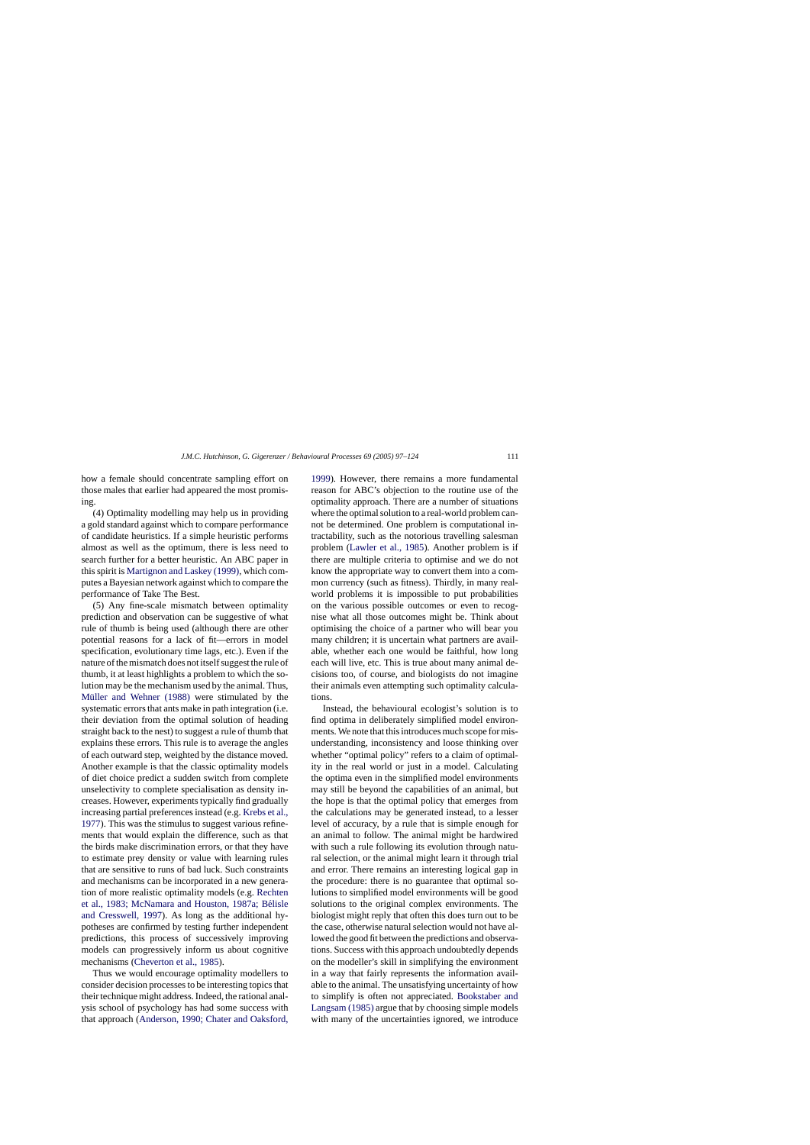how a female should concentrate sampling effort on those males that earlier had appeared the most promising.

(4) Optimality modelling may help us in providing a gold standard against which to compare performance of candidate heuristics. If a simple heuristic performs almost as well as the optimum, there is less need to search further for a better heuristic. An ABC paper in this spirit is [Martignon and Laskey \(1999\), w](#page-25-0)hich computes a Bayesian network against which to compare the performance of Take The Best.

(5) Any fine-scale mismatch between optimality prediction and observation can be suggestive of what rule of thumb is being used (although there are other potential reasons for a lack of fit—errors in model specification, evolutionary time lags, etc.). Even if the nature of the mismatch does not itself suggest the rule of thumb, it at least highlights a problem to which the solution may be the mechanism used by the animal. Thus, Müller and Wehner (1988) were stimulated by the systematic errors that ants make in path integration (i.e. their deviation from the optimal solution of heading straight back to the nest) to suggest a rule of thumb that explains these errors. This rule is to average the angles of each outward step, weighted by the distance moved. Another example is that the classic optimality models of diet choice predict a sudden switch from complete unselectivity to complete specialisation as density increases. However, experiments typically find gradually increasing partial preferences instead (e.g. [Krebs et al.,](#page-25-0) [1977\).](#page-25-0) This was the stimulus to suggest various refinements that would explain the difference, such as that the birds make discrimination errors, or that they have to estimate prey density or value with learning rules that are sensitive to runs of bad luck. Such constraints and mechanisms can be incorporated in a new generation of more realistic optimality models (e.g. [Rechten](#page-26-0) [et al., 1983; McNamara and Houston, 1987a; Belisle](#page-26-0) ´ [and Cresswell, 1997\)](#page-26-0). As long as the additional hypotheses are confirmed by testing further independent predictions, this process of successively improving models can progressively inform us about cognitive mechanisms ([Cheverton et al., 1985\).](#page-23-0)

Thus we would encourage optimality modellers to consider decision processes to be interesting topics that their technique might address. Indeed, the rational analysis school of psychology has had some success with that approach ([Anderson, 1990; Chater and Oaksford,](#page-22-0)

[1999\).](#page-22-0) However, there remains a more fundamental reason for ABC's objection to the routine use of the optimality approach. There are a number of situations where the optimal solution to a real-world problem cannot be determined. One problem is computational intractability, such as the notorious travelling salesman problem ([Lawler et al., 1985\)](#page-25-0). Another problem is if there are multiple criteria to optimise and we do not know the appropriate way to convert them into a common currency (such as fitness). Thirdly, in many realworld problems it is impossible to put probabilities on the various possible outcomes or even to recognise what all those outcomes might be. Think about optimising the choice of a partner who will bear you many children; it is uncertain what partners are available, whether each one would be faithful, how long each will live, etc. This is true about many animal decisions too, of course, and biologists do not imagine their animals even attempting such optimality calculations.

Instead, the behavioural ecologist's solution is to find optima in deliberately simplified model environments. We note that this introduces much scope for misunderstanding, inconsistency and loose thinking over whether "optimal policy" refers to a claim of optimality in the real world or just in a model. Calculating the optima even in the simplified model environments may still be beyond the capabilities of an animal, but the hope is that the optimal policy that emerges from the calculations may be generated instead, to a lesser level of accuracy, by a rule that is simple enough for an animal to follow. The animal might be hardwired with such a rule following its evolution through natural selection, or the animal might learn it through trial and error. There remains an interesting logical gap in the procedure: there is no guarantee that optimal solutions to simplified model environments will be good solutions to the original complex environments. The biologist might reply that often this does turn out to be the case, otherwise natural selection would not have allowed the good fit between the predictions and observations. Success with this approach undoubtedly depends on the modeller's skill in simplifying the environment in a way that fairly represents the information available to the animal. The unsatisfying uncertainty of how to simplify is often not appreciated. [Bookstaber and](#page-23-0) [Langsam \(1985\)](#page-23-0) argue that by choosing simple models with many of the uncertainties ignored, we introduce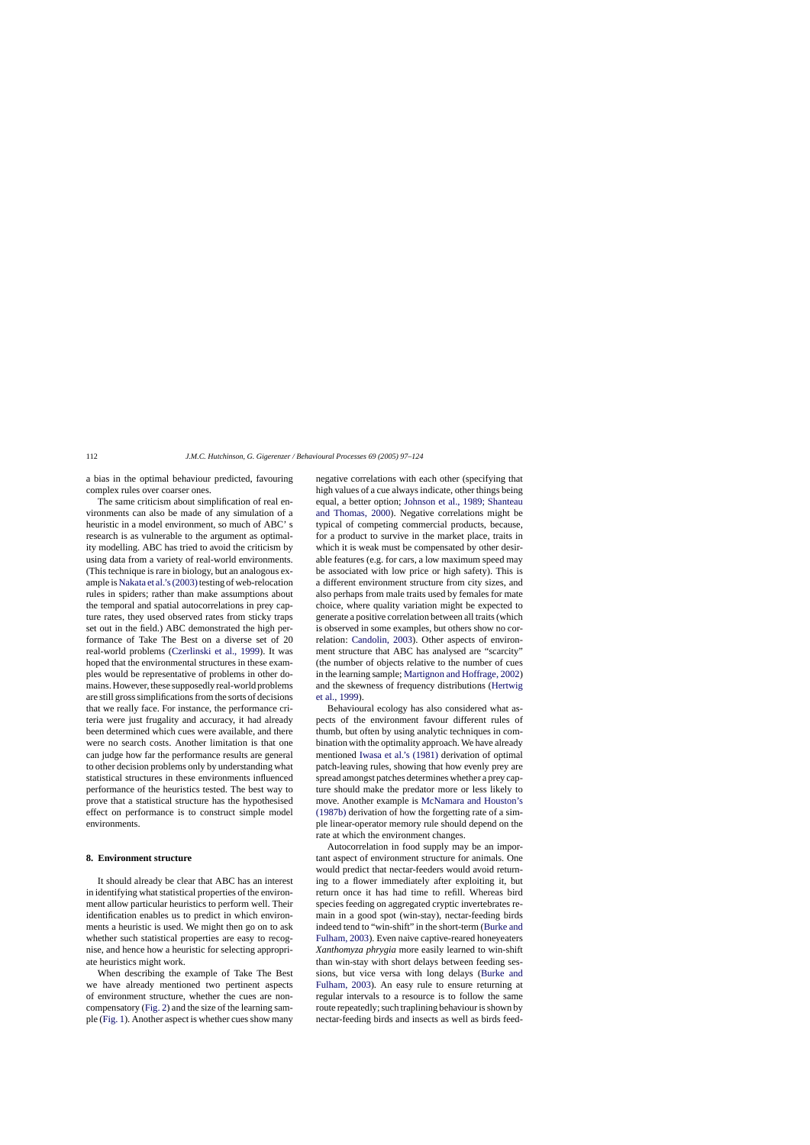a bias in the optimal behaviour predicted, favouring complex rules over coarser ones.

The same criticism about simplification of real environments can also be made of any simulation of a heuristic in a model environment, so much of ABC' s research is as vulnerable to the argument as optimality modelling. ABC has tried to avoid the criticism by using data from a variety of real-world environments. (This technique is rare in biology, but an analogous example is Nakata et al.'s (2003) testing of web-relocation rules in spiders; rather than make assumptions about the temporal and spatial autocorrelations in prey capture rates, they used observed rates from sticky traps set out in the field.) ABC demonstrated the high performance of Take The Best on a diverse set of 20 real-world problems ([Czerlinski et al., 1999\)](#page-23-0). It was hoped that the environmental structures in these examples would be representative of problems in other domains. However, these supposedly real-world problems are still gross simplifications from the sorts of decisions that we really face. For instance, the performance criteria were just frugality and accuracy, it had already been determined which cues were available, and there were no search costs. Another limitation is that one can judge how far the performance results are general to other decision problems only by understanding what statistical structures in these environments influenced performance of the heuristics tested. The best way to prove that a statistical structure has the hypothesised effect on performance is to construct simple model environments.

#### **8. Environment structure**

It should already be clear that ABC has an interest in identifying what statistical properties of the environment allow particular heuristics to perform well. Their identification enables us to predict in which environments a heuristic is used. We might then go on to ask whether such statistical properties are easy to recognise, and hence how a heuristic for selecting appropriate heuristics might work.

When describing the example of Take The Best we have already mentioned two pertinent aspects of environment structure, whether the cues are noncompensatory ([Fig. 2\) a](#page-3-0)nd the size of the learning sample ([Fig. 1\).](#page-2-0) Another aspect is whether cues show many negative correlations with each other (specifying that high values of a cue always indicate, other things being equal, a better option; [Johnson et al., 1989; Shanteau](#page-24-0) [and Thomas, 2000\)](#page-24-0). Negative correlations might be typical of competing commercial products, because, for a product to survive in the market place, traits in which it is weak must be compensated by other desirable features (e.g. for cars, a low maximum speed may be associated with low price or high safety). This is a different environment structure from city sizes, and also perhaps from male traits used by females for mate choice, where quality variation might be expected to generate a positive correlation between all traits (which is observed in some examples, but others show no correlation: [Candolin, 2003\)](#page-23-0). Other aspects of environment structure that ABC has analysed are "scarcity" (the number of objects relative to the number of cues in the learning sample; [Martignon and Hoffrage, 2002\)](#page-25-0) and the skewness of frequency distributions [\(Hertwig](#page-24-0) [et al., 1999\).](#page-24-0)

Behavioural ecology has also considered what aspects of the environment favour different rules of thumb, but often by using analytic techniques in combination with the optimality approach. We have already mentioned [Iwasa et al.'s \(1981\)](#page-24-0) derivation of optimal patch-leaving rules, showing that how evenly prey are spread amongst patches determines whether a prey capture should make the predator more or less likely to move. Another example is [McNamara and Houston's](#page-25-0) [\(1987b\)](#page-25-0) derivation of how the forgetting rate of a simple linear-operator memory rule should depend on the rate at which the environment changes.

Autocorrelation in food supply may be an important aspect of environment structure for animals. One would predict that nectar-feeders would avoid returning to a flower immediately after exploiting it, but return once it has had time to refill. Whereas bird species feeding on aggregated cryptic invertebrates remain in a good spot (win-stay), nectar-feeding birds indeed tend to "win-shift" in the short-term [\(Burke and](#page-23-0) [Fulham, 2003\).](#page-23-0) Even naive captive-reared honeyeaters *Xanthomyza phrygia* more easily learned to win-shift than win-stay with short delays between feeding sessions, but vice versa with long delays [\(Burke and](#page-23-0) [Fulham, 2003\)](#page-23-0). An easy rule to ensure returning at regular intervals to a resource is to follow the same route repeatedly; such traplining behaviour is shown by nectar-feeding birds and insects as well as birds feed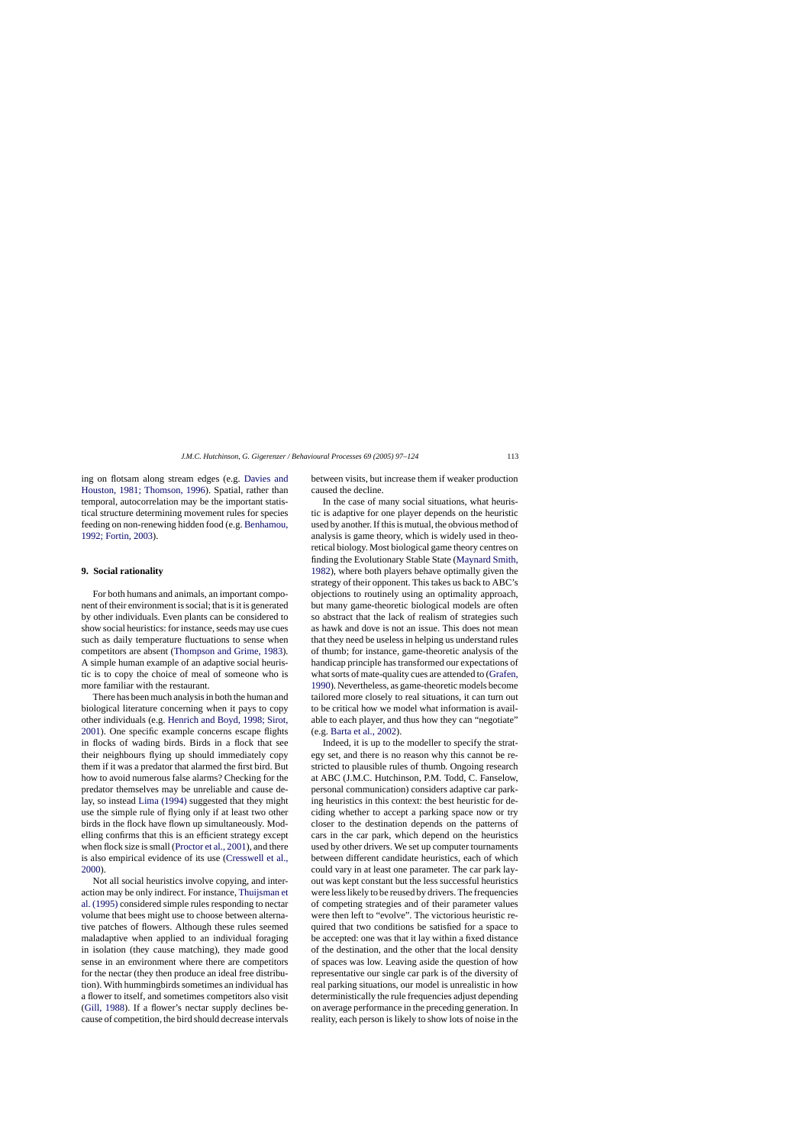ing on flotsam along stream edges (e.g. [Davies and](#page-23-0) [Houston, 1981; Thomson, 1996\)](#page-23-0). Spatial, rather than temporal, autocorrelation may be the important statistical structure determining movement rules for species feeding on non-renewing hidden food (e.g. [Benhamou,](#page-23-0) [1992; Fortin, 2003\).](#page-23-0)

#### **9. Social rationality**

For both humans and animals, an important component of their environment is social; that is it is generated by other individuals. Even plants can be considered to show social heuristics: for instance, seeds may use cues such as daily temperature fluctuations to sense when competitors are absent ([Thompson and Grime, 1983\).](#page-26-0) A simple human example of an adaptive social heuristic is to copy the choice of meal of someone who is more familiar with the restaurant.

There has been much analysis in both the human and biological literature concerning when it pays to copy other individuals (e.g. [Henrich and Boyd, 1998; Sirot,](#page-24-0) [2001\).](#page-24-0) One specific example concerns escape flights in flocks of wading birds. Birds in a flock that see their neighbours flying up should immediately copy them if it was a predator that alarmed the first bird. But how to avoid numerous false alarms? Checking for the predator themselves may be unreliable and cause delay, so instead [Lima \(1994\)](#page-25-0) suggested that they might use the simple rule of flying only if at least two other birds in the flock have flown up simultaneously. Modelling confirms that this is an efficient strategy except when flock size is small [\(Proctor et al., 2001\),](#page-25-0) and there is also empirical evidence of its use [\(Cresswell et al.,](#page-23-0) [2000\).](#page-23-0)

Not all social heuristics involve copying, and interaction may be only indirect. For instance, [Thuijsman et](#page-26-0) [al. \(1995\)](#page-26-0) considered simple rules responding to nectar volume that bees might use to choose between alternative patches of flowers. Although these rules seemed maladaptive when applied to an individual foraging in isolation (they cause matching), they made good sense in an environment where there are competitors for the nectar (they then produce an ideal free distribution). With hummingbirds sometimes an individual has a flower to itself, and sometimes competitors also visit ([Gill, 1988\).](#page-24-0) If a flower's nectar supply declines because of competition, the bird should decrease intervals

between visits, but increase them if weaker production caused the decline.

In the case of many social situations, what heuristic is adaptive for one player depends on the heuristic used by another. If this is mutual, the obvious method of analysis is game theory, which is widely used in theoretical biology. Most biological game theory centres on finding the Evolutionary Stable State ([Maynard Smith,](#page-25-0) [1982\),](#page-25-0) where both players behave optimally given the strategy of their opponent. This takes us back to ABC's objections to routinely using an optimality approach, but many game-theoretic biological models are often so abstract that the lack of realism of strategies such as hawk and dove is not an issue. This does not mean that they need be useless in helping us understand rules of thumb; for instance, game-theoretic analysis of the handicap principle has transformed our expectations of what sorts of mate-quality cues are attended to ([Grafen,](#page-24-0) [1990\).](#page-24-0) Nevertheless, as game-theoretic models become tailored more closely to real situations, it can turn out to be critical how we model what information is available to each player, and thus how they can "negotiate" (e.g. [Barta et al., 2002\).](#page-22-0)

Indeed, it is up to the modeller to specify the strategy set, and there is no reason why this cannot be restricted to plausible rules of thumb. Ongoing research at ABC (J.M.C. Hutchinson, P.M. Todd, C. Fanselow, personal communication) considers adaptive car parking heuristics in this context: the best heuristic for deciding whether to accept a parking space now or try closer to the destination depends on the patterns of cars in the car park, which depend on the heuristics used by other drivers. We set up computer tournaments between different candidate heuristics, each of which could vary in at least one parameter. The car park layout was kept constant but the less successful heuristics were less likely to be reused by drivers. The frequencies of competing strategies and of their parameter values were then left to "evolve". The victorious heuristic required that two conditions be satisfied for a space to be accepted: one was that it lay within a fixed distance of the destination, and the other that the local density of spaces was low. Leaving aside the question of how representative our single car park is of the diversity of real parking situations, our model is unrealistic in how deterministically the rule frequencies adjust depending on average performance in the preceding generation. In reality, each person is likely to show lots of noise in the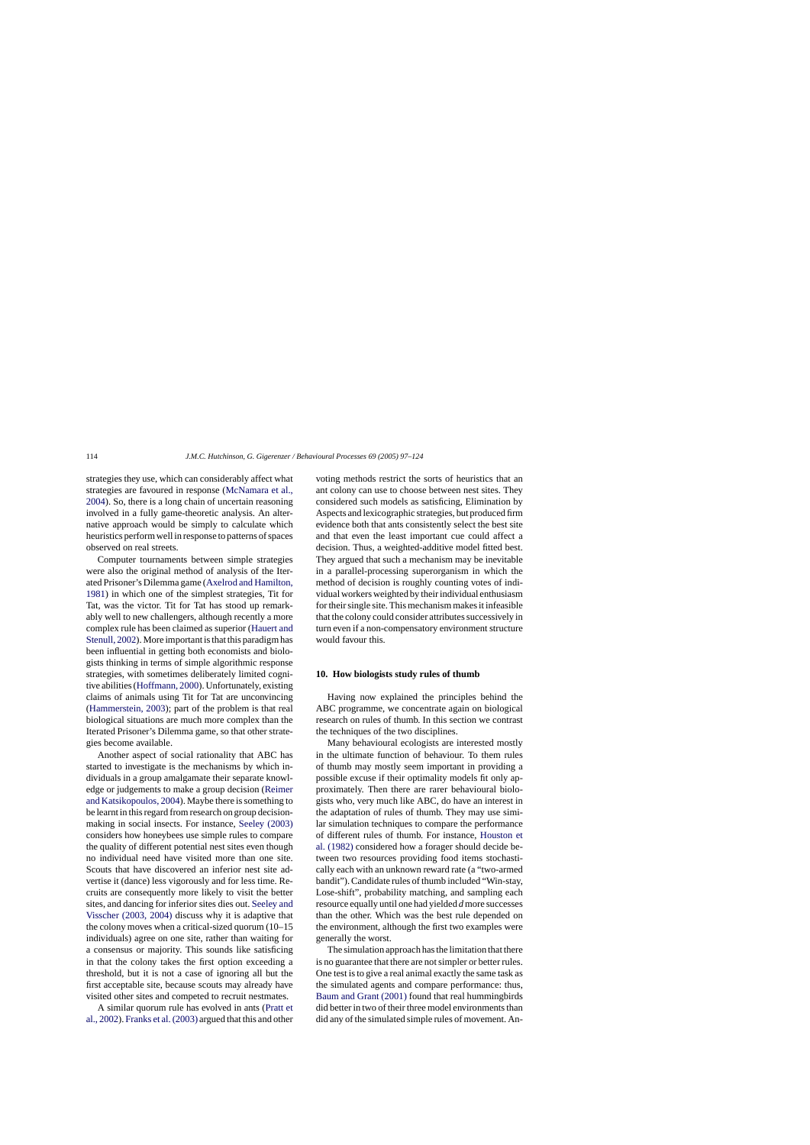strategies they use, which can considerably affect what strategies are favoured in response ([McNamara et al.,](#page-25-0) [2004\).](#page-25-0) So, there is a long chain of uncertain reasoning involved in a fully game-theoretic analysis. An alternative approach would be simply to calculate which heuristics perform well in response to patterns of spaces observed on real streets.

Computer tournaments between simple strategies were also the original method of analysis of the Iterated Prisoner's Dilemma game [\(Axelrod and Hamilton,](#page-22-0) [1981\)](#page-22-0) in which one of the simplest strategies, Tit for Tat, was the victor. Tit for Tat has stood up remarkably well to new challengers, although recently a more complex rule has been claimed as superior [\(Hauert and](#page-24-0) [Stenull, 2002\).](#page-24-0) More important is that this paradigm has been influential in getting both economists and biologists thinking in terms of simple algorithmic response strategies, with sometimes deliberately limited cognitive abilities [\(Hoffmann, 2000\).](#page-24-0) Unfortunately, existing claims of animals using Tit for Tat are unconvincing ([Hammerstein, 2003\);](#page-24-0) part of the problem is that real biological situations are much more complex than the Iterated Prisoner's Dilemma game, so that other strategies become available.

Another aspect of social rationality that ABC has started to investigate is the mechanisms by which individuals in a group amalgamate their separate knowledge or judgements to make a group decision [\(Reimer](#page-26-0) [and Katsikopoulos, 2004\).](#page-26-0) Maybe there is something to be learnt in this regard from research on group decisionmaking in social insects. For instance, [Seeley \(2003\)](#page-26-0) considers how honeybees use simple rules to compare the quality of different potential nest sites even though no individual need have visited more than one site. Scouts that have discovered an inferior nest site advertise it (dance) less vigorously and for less time. Recruits are consequently more likely to visit the better sites, and dancing for inferior sites dies out. [Seeley and](#page-26-0) [Visscher \(2003, 2004\)](#page-26-0) discuss why it is adaptive that the colony moves when a critical-sized quorum (10–15 individuals) agree on one site, rather than waiting for a consensus or majority. This sounds like satisficing in that the colony takes the first option exceeding a threshold, but it is not a case of ignoring all but the first acceptable site, because scouts may already have visited other sites and competed to recruit nestmates.

A similar quorum rule has evolved in ants [\(Pratt et](#page-25-0) [al., 2002\).](#page-25-0) [Franks et al. \(2003\)](#page-24-0) argued that this and other voting methods restrict the sorts of heuristics that an ant colony can use to choose between nest sites. They considered such models as satisficing, Elimination by Aspects and lexicographic strategies, but produced firm evidence both that ants consistently select the best site and that even the least important cue could affect a decision. Thus, a weighted-additive model fitted best. They argued that such a mechanism may be inevitable in a parallel-processing superorganism in which the method of decision is roughly counting votes of individual workers weighted by their individual enthusiasm for their single site. This mechanism makes it infeasible that the colony could consider attributes successively in turn even if a non-compensatory environment structure would favour this.

#### **10. How biologists study rules of thumb**

Having now explained the principles behind the ABC programme, we concentrate again on biological research on rules of thumb. In this section we contrast the techniques of the two disciplines.

Many behavioural ecologists are interested mostly in the ultimate function of behaviour. To them rules of thumb may mostly seem important in providing a possible excuse if their optimality models fit only approximately. Then there are rarer behavioural biologists who, very much like ABC, do have an interest in the adaptation of rules of thumb. They may use similar simulation techniques to compare the performance of different rules of thumb. For instance, [Houston et](#page-24-0) [al. \(1982\)](#page-24-0) considered how a forager should decide between two resources providing food items stochastically each with an unknown reward rate (a "two-armed bandit"). Candidate rules of thumb included "Win-stay, Lose-shift", probability matching, and sampling each resource equally until one had yielded *d* more successes than the other. Which was the best rule depended on the environment, although the first two examples were generally the worst.

The simulation approach has the limitation that there is no guarantee that there are not simpler or better rules. One test is to give a real animal exactly the same task as the simulated agents and compare performance: thus, [Baum and Grant \(2001\)](#page-23-0) found that real hummingbirds did better in two of their three model environments than did any of the simulated simple rules of movement. An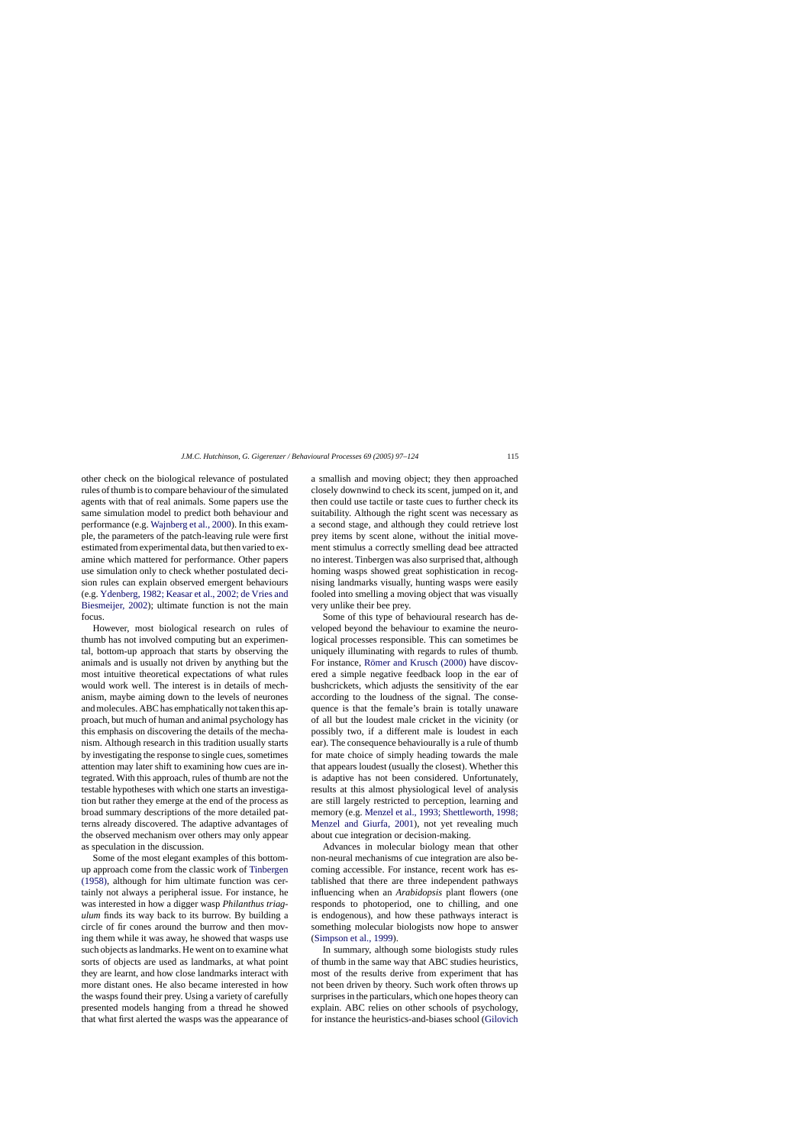other check on the biological relevance of postulated rules of thumb is to compare behaviour of the simulated agents with that of real animals. Some papers use the same simulation model to predict both behaviour and performance (e.g. [Wajnberg et al., 2000\).](#page-27-0) In this example, the parameters of the patch-leaving rule were first estimated from experimental data, but then varied to examine which mattered for performance. Other papers use simulation only to check whether postulated decision rules can explain observed emergent behaviours (e.g. [Ydenberg, 1982; Keasar et al., 2002; de Vries and](#page-27-0) [Biesmeijer, 2002\);](#page-27-0) ultimate function is not the main focus.

However, most biological research on rules of thumb has not involved computing but an experimental, bottom-up approach that starts by observing the animals and is usually not driven by anything but the most intuitive theoretical expectations of what rules would work well. The interest is in details of mechanism, maybe aiming down to the levels of neurones and molecules. ABC has emphatically not taken this approach, but much of human and animal psychology has this emphasis on discovering the details of the mechanism. Although research in this tradition usually starts by investigating the response to single cues, sometimes attention may later shift to examining how cues are integrated. With this approach, rules of thumb are not the testable hypotheses with which one starts an investigation but rather they emerge at the end of the process as broad summary descriptions of the more detailed patterns already discovered. The adaptive advantages of the observed mechanism over others may only appear as speculation in the discussion.

Some of the most elegant examples of this bottomup approach come from the classic work of [Tinbergen](#page-26-0) [\(1958\),](#page-26-0) although for him ultimate function was certainly not always a peripheral issue. For instance, he was interested in how a digger wasp *Philanthus triagulum* finds its way back to its burrow. By building a circle of fir cones around the burrow and then moving them while it was away, he showed that wasps use such objects as landmarks. He went on to examine what sorts of objects are used as landmarks, at what point they are learnt, and how close landmarks interact with more distant ones. He also became interested in how the wasps found their prey. Using a variety of carefully presented models hanging from a thread he showed that what first alerted the wasps was the appearance of a smallish and moving object; they then approached closely downwind to check its scent, jumped on it, and then could use tactile or taste cues to further check its suitability. Although the right scent was necessary as a second stage, and although they could retrieve lost prey items by scent alone, without the initial movement stimulus a correctly smelling dead bee attracted no interest. Tinbergen was also surprised that, although homing wasps showed great sophistication in recognising landmarks visually, hunting wasps were easily fooled into smelling a moving object that was visually very unlike their bee prey.

Some of this type of behavioural research has developed beyond the behaviour to examine the neurological processes responsible. This can sometimes be uniquely illuminating with regards to rules of thumb. For instance, Römer and Krusch (2000) have discovered a simple negative feedback loop in the ear of bushcrickets, which adjusts the sensitivity of the ear according to the loudness of the signal. The consequence is that the female's brain is totally unaware of all but the loudest male cricket in the vicinity (or possibly two, if a different male is loudest in each ear). The consequence behaviourally is a rule of thumb for mate choice of simply heading towards the male that appears loudest (usually the closest). Whether this is adaptive has not been considered. Unfortunately, results at this almost physiological level of analysis are still largely restricted to perception, learning and memory (e.g. [Menzel et al., 1993; Shettleworth, 1998;](#page-25-0) [Menzel and Giurfa, 2001](#page-25-0)), not yet revealing much about cue integration or decision-making.

Advances in molecular biology mean that other non-neural mechanisms of cue integration are also becoming accessible. For instance, recent work has established that there are three independent pathways influencing when an *Arabidopsis* plant flowers (one responds to photoperiod, one to chilling, and one is endogenous), and how these pathways interact is something molecular biologists now hope to answer [\(Simpson et al., 1999\).](#page-26-0)

In summary, although some biologists study rules of thumb in the same way that ABC studies heuristics, most of the results derive from experiment that has not been driven by theory. Such work often throws up surprises in the particulars, which one hopes theory can explain. ABC relies on other schools of psychology, for instance the heuristics-and-biases school [\(Gilovich](#page-24-0)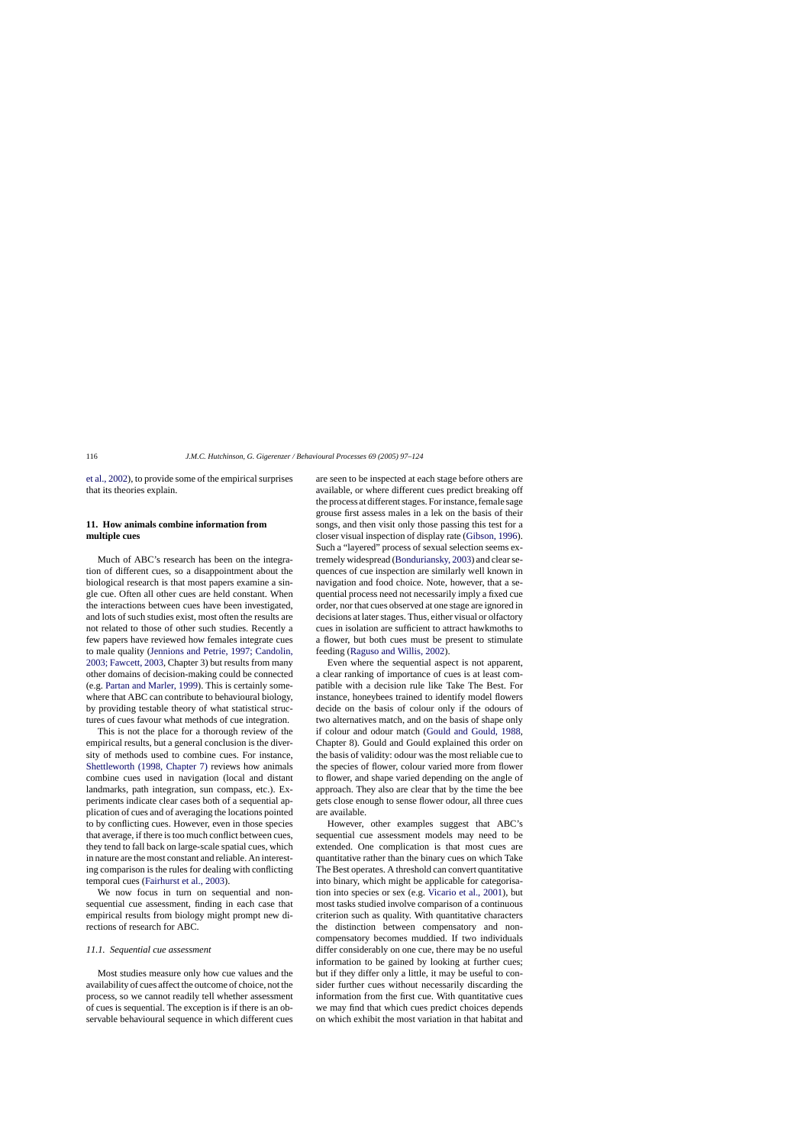[et al., 2002\),](#page-24-0) to provide some of the empirical surprises that its theories explain.

# **11. How animals combine information from multiple cues**

Much of ABC's research has been on the integration of different cues, so a disappointment about the biological research is that most papers examine a single cue. Often all other cues are held constant. When the interactions between cues have been investigated, and lots of such studies exist, most often the results are not related to those of other such studies. Recently a few papers have reviewed how females integrate cues to male quality [\(Jennions and Petrie, 1997; Candolin,](#page-24-0) [2003; Fawcett, 2003, C](#page-24-0)hapter 3) but results from many other domains of decision-making could be connected (e.g. [Partan and Marler, 1999\).](#page-25-0) This is certainly somewhere that ABC can contribute to behavioural biology, by providing testable theory of what statistical structures of cues favour what methods of cue integration.

This is not the place for a thorough review of the empirical results, but a general conclusion is the diversity of methods used to combine cues. For instance, [Shettleworth \(1998, Chapter 7\)](#page-26-0) reviews how animals combine cues used in navigation (local and distant landmarks, path integration, sun compass, etc.). Experiments indicate clear cases both of a sequential application of cues and of averaging the locations pointed to by conflicting cues. However, even in those species that average, if there is too much conflict between cues, they tend to fall back on large-scale spatial cues, which in nature are the most constant and reliable. An interesting comparison is the rules for dealing with conflicting temporal cues ([Fairhurst et al., 2003\).](#page-23-0)

We now focus in turn on sequential and nonsequential cue assessment, finding in each case that empirical results from biology might prompt new directions of research for ABC.

#### *11.1. Sequential cue assessment*

Most studies measure only how cue values and the availability of cues affect the outcome of choice, not the process, so we cannot readily tell whether assessment of cues is sequential. The exception is if there is an observable behavioural sequence in which different cues are seen to be inspected at each stage before others are available, or where different cues predict breaking off the process at different stages. For instance, female sage grouse first assess males in a lek on the basis of their songs, and then visit only those passing this test for a closer visual inspection of display rate ([Gibson, 1996\).](#page-24-0) Such a "layered" process of sexual selection seems extremely widespread [\(Bonduriansky, 2003\) a](#page-23-0)nd clear sequences of cue inspection are similarly well known in navigation and food choice. Note, however, that a sequential process need not necessarily imply a fixed cue order, nor that cues observed at one stage are ignored in decisions at later stages. Thus, either visual or olfactory cues in isolation are sufficient to attract hawkmoths to a flower, but both cues must be present to stimulate feeding [\(Raguso and Willis, 2002\).](#page-26-0)

Even where the sequential aspect is not apparent, a clear ranking of importance of cues is at least compatible with a decision rule like Take The Best. For instance, honeybees trained to identify model flowers decide on the basis of colour only if the odours of two alternatives match, and on the basis of shape only if colour and odour match ([Gould and Gould, 1988,](#page-24-0) Chapter 8). Gould and Gould explained this order on the basis of validity: odour was the most reliable cue to the species of flower, colour varied more from flower to flower, and shape varied depending on the angle of approach. They also are clear that by the time the bee gets close enough to sense flower odour, all three cues are available.

However, other examples suggest that ABC's sequential cue assessment models may need to be extended. One complication is that most cues are quantitative rather than the binary cues on which Take The Best operates. A threshold can convert quantitative into binary, which might be applicable for categorisation into species or sex (e.g. [Vicario et al., 2001\),](#page-27-0) but most tasks studied involve comparison of a continuous criterion such as quality. With quantitative characters the distinction between compensatory and noncompensatory becomes muddied. If two individuals differ considerably on one cue, there may be no useful information to be gained by looking at further cues; but if they differ only a little, it may be useful to consider further cues without necessarily discarding the information from the first cue. With quantitative cues we may find that which cues predict choices depends on which exhibit the most variation in that habitat and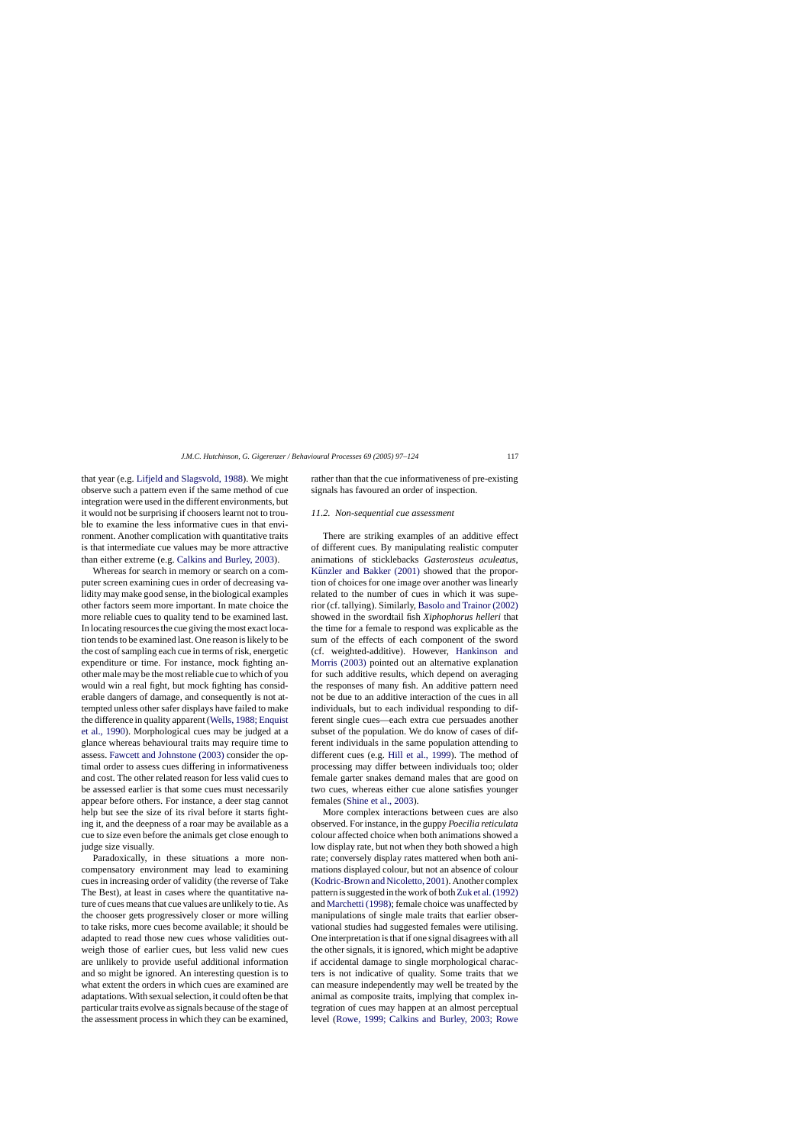that year (e.g. [Lifjeld and Slagsvold, 1988\).](#page-25-0) We might observe such a pattern even if the same method of cue integration were used in the different environments, but it would not be surprising if choosers learnt not to trouble to examine the less informative cues in that environment. Another complication with quantitative traits is that intermediate cue values may be more attractive than either extreme (e.g. [Calkins and Burley, 2003\).](#page-23-0)

Whereas for search in memory or search on a computer screen examining cues in order of decreasing validity may make good sense, in the biological examples other factors seem more important. In mate choice the more reliable cues to quality tend to be examined last. In locating resources the cue giving the most exact location tends to be examined last. One reason is likely to be the cost of sampling each cue in terms of risk, energetic expenditure or time. For instance, mock fighting another male may be the most reliable cue to which of you would win a real fight, but mock fighting has considerable dangers of damage, and consequently is not attempted unless other safer displays have failed to make the difference in quality apparent [\(Wells, 1988; Enquist](#page-27-0) [et al., 1990\).](#page-27-0) Morphological cues may be judged at a glance whereas behavioural traits may require time to assess. [Fawcett and Johnstone \(2003\)](#page-23-0) consider the optimal order to assess cues differing in informativeness and cost. The other related reason for less valid cues to be assessed earlier is that some cues must necessarily appear before others. For instance, a deer stag cannot help but see the size of its rival before it starts fighting it, and the deepness of a roar may be available as a cue to size even before the animals get close enough to judge size visually.

Paradoxically, in these situations a more noncompensatory environment may lead to examining cues in increasing order of validity (the reverse of Take The Best), at least in cases where the quantitative nature of cues means that cue values are unlikely to tie. As the chooser gets progressively closer or more willing to take risks, more cues become available; it should be adapted to read those new cues whose validities outweigh those of earlier cues, but less valid new cues are unlikely to provide useful additional information and so might be ignored. An interesting question is to what extent the orders in which cues are examined are adaptations. With sexual selection, it could often be that particular traits evolve as signals because of the stage of the assessment process in which they can be examined, rather than that the cue informativeness of pre-existing signals has favoured an order of inspection.

#### *11.2. Non-sequential cue assessment*

There are striking examples of an additive effect of different cues. By manipulating realistic computer animations of sticklebacks *Gasterosteus aculeatus*, Künzler and Bakker  $(2001)$  showed that the proportion of choices for one image over another was linearly related to the number of cues in which it was superior (cf. tallying). Similarly, [Basolo and Trainor \(2002\)](#page-23-0) showed in the swordtail fish *Xiphophorus helleri* that the time for a female to respond was explicable as the sum of the effects of each component of the sword (cf. weighted-additive). However, [Hankinson and](#page-24-0) [Morris \(2003\)](#page-24-0) pointed out an alternative explanation for such additive results, which depend on averaging the responses of many fish. An additive pattern need not be due to an additive interaction of the cues in all individuals, but to each individual responding to different single cues—each extra cue persuades another subset of the population. We do know of cases of different individuals in the same population attending to different cues (e.g. [Hill et al., 1999\)](#page-24-0). The method of processing may differ between individuals too; older female garter snakes demand males that are good on two cues, whereas either cue alone satisfies younger females ([Shine et al., 2003\).](#page-26-0)

More complex interactions between cues are also observed. For instance, in the guppy *Poecilia reticulata* colour affected choice when both animations showed a low display rate, but not when they both showed a high rate; conversely display rates mattered when both animations displayed colour, but not an absence of colour [\(Kodric-Brown and Nicoletto, 2001\). A](#page-25-0)nother complex pattern is suggested in the work of both [Zuk et al. \(1992\)](#page-27-0) and [Marchetti \(1998\); f](#page-25-0)emale choice was unaffected by manipulations of single male traits that earlier observational studies had suggested females were utilising. One interpretation is that if one signal disagrees with all the other signals, it is ignored, which might be adaptive if accidental damage to single morphological characters is not indicative of quality. Some traits that we can measure independently may well be treated by the animal as composite traits, implying that complex integration of cues may happen at an almost perceptual level ([Rowe, 1999; Calkins and Burley, 2003; Rowe](#page-26-0)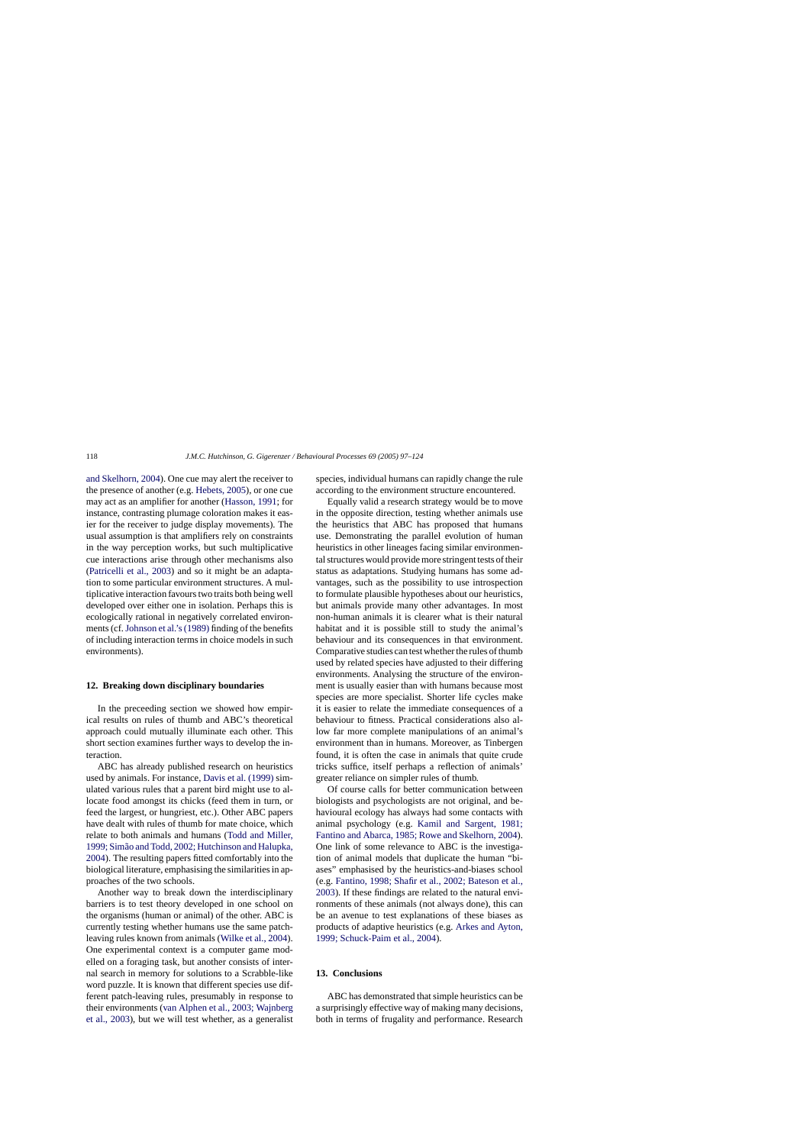[and Skelhorn, 2004\).](#page-26-0) One cue may alert the receiver to the presence of another (e.g. [Hebets, 2005\),](#page-24-0) or one cue may act as an amplifier for another ([Hasson, 1991;](#page-24-0) for instance, contrasting plumage coloration makes it easier for the receiver to judge display movements). The usual assumption is that amplifiers rely on constraints in the way perception works, but such multiplicative cue interactions arise through other mechanisms also ([Patricelli et al., 2003\)](#page-25-0) and so it might be an adaptation to some particular environment structures. A multiplicative interaction favours two traits both being well developed over either one in isolation. Perhaps this is ecologically rational in negatively correlated environments (cf.[Johnson et al.'s \(1989\)](#page-24-0) finding of the benefits of including interaction terms in choice models in such environments).

### **12. Breaking down disciplinary boundaries**

In the preceeding section we showed how empirical results on rules of thumb and ABC's theoretical approach could mutually illuminate each other. This short section examines further ways to develop the interaction.

ABC has already published research on heuristics used by animals. For instance, [Davis et al. \(1999\)](#page-23-0) simulated various rules that a parent bird might use to allocate food amongst its chicks (feed them in turn, or feed the largest, or hungriest, etc.). Other ABC papers have dealt with rules of thumb for mate choice, which relate to both animals and humans ([Todd and Miller,](#page-26-0) 1999; Simão and Todd, 2002; Hutchinson and Halupka, [2004\).](#page-26-0) The resulting papers fitted comfortably into the biological literature, emphasising the similarities in approaches of the two schools.

Another way to break down the interdisciplinary barriers is to test theory developed in one school on the organisms (human or animal) of the other. ABC is currently testing whether humans use the same patchleaving rules known from animals [\(Wilke et al., 2004\).](#page-27-0) One experimental context is a computer game modelled on a foraging task, but another consists of internal search in memory for solutions to a Scrabble-like word puzzle. It is known that different species use different patch-leaving rules, presumably in response to their environments ([van Alphen et al., 2003; Wajnberg](#page-26-0) [et al., 2003\),](#page-26-0) but we will test whether, as a generalist species, individual humans can rapidly change the rule according to the environment structure encountered.

Equally valid a research strategy would be to move in the opposite direction, testing whether animals use the heuristics that ABC has proposed that humans use. Demonstrating the parallel evolution of human heuristics in other lineages facing similar environmental structures would provide more stringent tests of their status as adaptations. Studying humans has some advantages, such as the possibility to use introspection to formulate plausible hypotheses about our heuristics, but animals provide many other advantages. In most non-human animals it is clearer what is their natural habitat and it is possible still to study the animal's behaviour and its consequences in that environment. Comparative studies can test whether the rules of thumb used by related species have adjusted to their differing environments. Analysing the structure of the environment is usually easier than with humans because most species are more specialist. Shorter life cycles make it is easier to relate the immediate consequences of a behaviour to fitness. Practical considerations also allow far more complete manipulations of an animal's environment than in humans. Moreover, as Tinbergen found, it is often the case in animals that quite crude tricks suffice, itself perhaps a reflection of animals' greater reliance on simpler rules of thumb.

Of course calls for better communication between biologists and psychologists are not original, and behavioural ecology has always had some contacts with animal psychology (e.g. [Kamil and Sargent, 1981](#page-25-0); [Fantino and Abarca, 1985; Rowe and Skelhorn, 2004\).](#page-25-0) One link of some relevance to ABC is the investigation of animal models that duplicate the human "biases" emphasised by the heuristics-and-biases school (e.g. [Fantino, 1998; Shafir et al., 2002; Bateson et al.,](#page-23-0) [2003\).](#page-23-0) If these findings are related to the natural environments of these animals (not always done), this can be an avenue to test explanations of these biases as products of adaptive heuristics (e.g. [Arkes and Ayton,](#page-22-0) [1999; Schuck-Paim et al., 2004\).](#page-22-0)

#### **13. Conclusions**

ABC has demonstrated that simple heuristics can be a surprisingly effective way of making many decisions, both in terms of frugality and performance. Research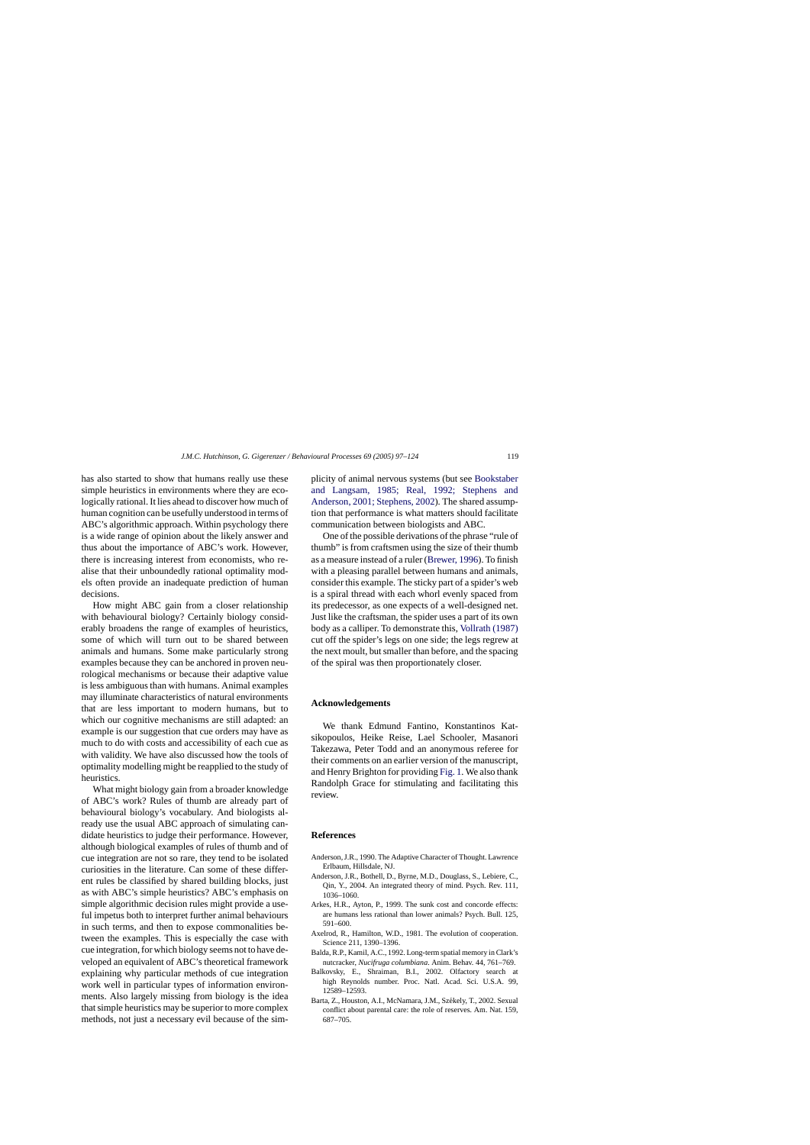<span id="page-22-0"></span>has also started to show that humans really use these simple heuristics in environments where they are ecologically rational. It lies ahead to discover how much of human cognition can be usefully understood in terms of ABC's algorithmic approach. Within psychology there is a wide range of opinion about the likely answer and thus about the importance of ABC's work. However, there is increasing interest from economists, who realise that their unboundedly rational optimality models often provide an inadequate prediction of human decisions.

How might ABC gain from a closer relationship with behavioural biology? Certainly biology considerably broadens the range of examples of heuristics, some of which will turn out to be shared between animals and humans. Some make particularly strong examples because they can be anchored in proven neurological mechanisms or because their adaptive value is less ambiguous than with humans. Animal examples may illuminate characteristics of natural environments that are less important to modern humans, but to which our cognitive mechanisms are still adapted: an example is our suggestion that cue orders may have as much to do with costs and accessibility of each cue as with validity. We have also discussed how the tools of optimality modelling might be reapplied to the study of heuristics.

What might biology gain from a broader knowledge of ABC's work? Rules of thumb are already part of behavioural biology's vocabulary. And biologists already use the usual ABC approach of simulating candidate heuristics to judge their performance. However, although biological examples of rules of thumb and of cue integration are not so rare, they tend to be isolated curiosities in the literature. Can some of these different rules be classified by shared building blocks, just as with ABC's simple heuristics? ABC's emphasis on simple algorithmic decision rules might provide a useful impetus both to interpret further animal behaviours in such terms, and then to expose commonalities between the examples. This is especially the case with cue integration, for which biology seems not to have developed an equivalent of ABC's theoretical framework explaining why particular methods of cue integration work well in particular types of information environments. Also largely missing from biology is the idea that simple heuristics may be superior to more complex methods, not just a necessary evil because of the simplicity of animal nervous systems (but see [Bookstaber](#page-23-0) [and Langsam, 1985; Real, 1992; Stephens and](#page-23-0) [Anderson, 2001; Stephens, 2002\).](#page-23-0) The shared assumption that performance is what matters should facilitate communication between biologists and ABC.

One of the possible derivations of the phrase "rule of thumb" is from craftsmen using the size of their thumb as a measure instead of a ruler ([Brewer, 1996\).](#page-23-0) To finish with a pleasing parallel between humans and animals, consider this example. The sticky part of a spider's web is a spiral thread with each whorl evenly spaced from its predecessor, as one expects of a well-designed net. Just like the craftsman, the spider uses a part of its own body as a calliper. To demonstrate this, [Vollrath \(1987\)](#page-27-0) cut off the spider's legs on one side; the legs regrew at the next moult, but smaller than before, and the spacing of the spiral was then proportionately closer.

## **Acknowledgements**

We thank Edmund Fantino, Konstantinos Katsikopoulos, Heike Reise, Lael Schooler, Masanori Takezawa, Peter Todd and an anonymous referee for their comments on an earlier version of the manuscript, and Henry Brighton for providing [Fig. 1. W](#page-2-0)e also thank Randolph Grace for stimulating and facilitating this review.

#### **References**

- Anderson, J.R., 1990. The Adaptive Character of Thought. Lawrence Erlbaum, Hillsdale, NJ.
- Anderson, J.R., Bothell, D., Byrne, M.D., Douglass, S., Lebiere, C., Qin, Y., 2004. An integrated theory of mind. Psych. Rev. 111, 1036–1060.
- Arkes, H.R., Ayton, P., 1999. The sunk cost and concorde effects: are humans less rational than lower animals? Psych. Bull. 125, 591–600.
- Axelrod, R., Hamilton, W.D., 1981. The evolution of cooperation. Science 211, 1390–1396.
- Balda, R.P., Kamil, A.C., 1992. Long-term spatial memory in Clark's nutcracker, *Nucifruga columbiana*. Anim. Behav. 44, 761–769.
- Balkovsky, E., Shraiman, B.I., 2002. Olfactory search at high Reynolds number. Proc. Natl. Acad. Sci. U.S.A. 99, 12589–12593.
- Barta, Z., Houston, A.I., McNamara, J.M., Székely, T., 2002. Sexual conflict about parental care: the role of reserves. Am. Nat. 159, 687–705.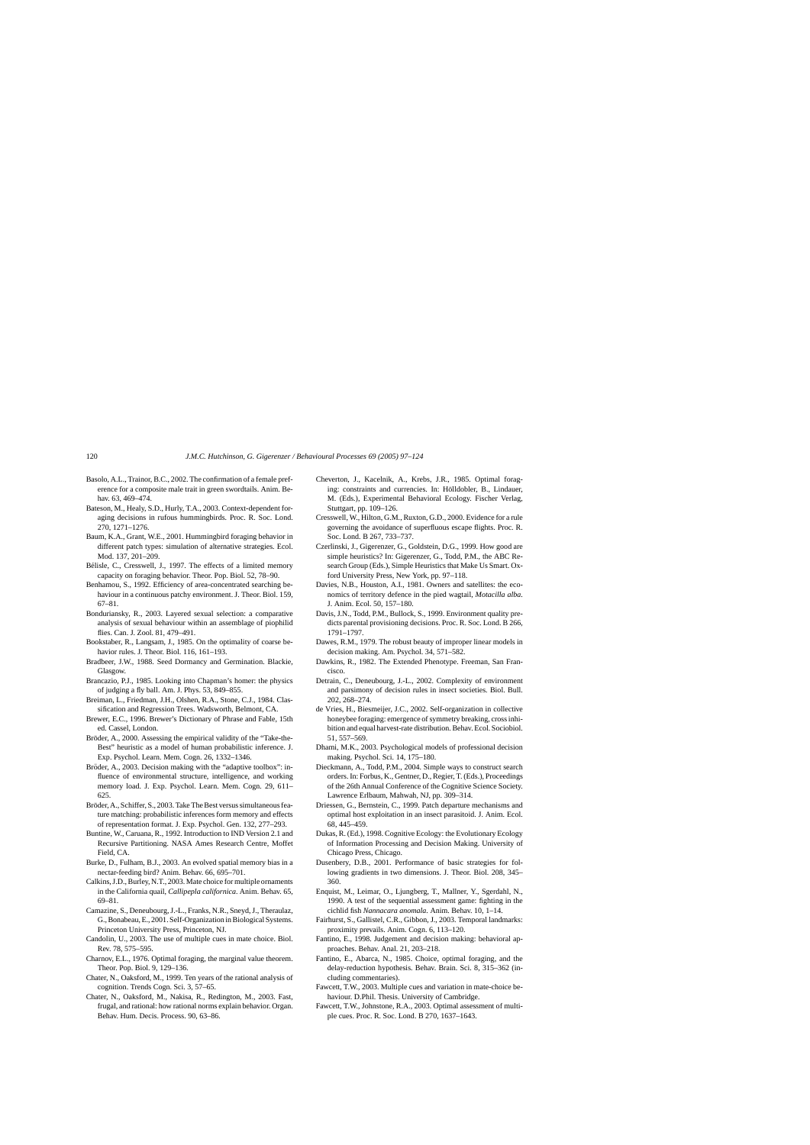- <span id="page-23-0"></span>Basolo, A.L., Trainor, B.C., 2002. The confirmation of a female preference for a composite male trait in green swordtails. Anim. Behav. 63, 469-474.
- Bateson, M., Healy, S.D., Hurly, T.A., 2003. Context-dependent foraging decisions in rufous hummingbirds. Proc. R. Soc. Lond. 270, 1271–1276.
- Baum, K.A., Grant, W.E., 2001. Hummingbird foraging behavior in different patch types: simulation of alternative strategies. Ecol. Mod. 137, 201–209.
- Bélisle, C., Cresswell, J., 1997. The effects of a limited memory capacity on foraging behavior. Theor. Pop. Biol. 52, 78–90.
- Benhamou, S., 1992. Efficiency of area-concentrated searching behaviour in a continuous patchy environment. J. Theor. Biol. 159, 67–81.
- Bonduriansky, R., 2003. Layered sexual selection: a comparative analysis of sexual behaviour within an assemblage of piophilid flies. Can. J. Zool. 81, 479–491.
- Bookstaber, R., Langsam, J., 1985. On the optimality of coarse behavior rules. J. Theor. Biol. 116, 161–193.
- Bradbeer, J.W., 1988. Seed Dormancy and Germination. Blackie, Glasgow.
- Brancazio, P.J., 1985. Looking into Chapman's homer: the physics of judging a fly ball. Am. J. Phys. 53, 849–855.
- Breiman, L., Friedman, J.H., Olshen, R.A., Stone, C.J., 1984. Classification and Regression Trees. Wadsworth, Belmont, CA.
- Brewer, E.C., 1996. Brewer's Dictionary of Phrase and Fable, 15th ed. Cassel, London.
- Bröder, A., 2000. Assessing the empirical validity of the "Take-the-Best" heuristic as a model of human probabilistic inference. J. Exp. Psychol. Learn. Mem. Cogn. 26, 1332–1346.
- Bröder, A., 2003. Decision making with the "adaptive toolbox": influence of environmental structure, intelligence, and working memory load. J. Exp. Psychol. Learn. Mem. Cogn. 29, 611– 625.
- Bröder, A., Schiffer, S., 2003. Take The Best versus simultaneous feature matching: probabilistic inferences form memory and effects of representation format. J. Exp. Psychol. Gen. 132, 277–293.
- Buntine, W., Caruana, R., 1992. Introduction to IND Version 2.1 and Recursive Partitioning. NASA Ames Research Centre, Moffet Field, CA.
- Burke, D., Fulham, B.J., 2003. An evolved spatial memory bias in a nectar-feeding bird? Anim. Behav. 66, 695–701.
- Calkins, J.D., Burley, N.T., 2003. Mate choice for multiple ornaments in the California quail, *Callipepla californica*. Anim. Behav. 65, 69–81.
- Camazine, S., Deneubourg, J.-L., Franks, N.R., Sneyd, J., Theraulaz, G., Bonabeau, E., 2001. Self-Organization in Biological Systems. Princeton University Press, Princeton, NJ.
- Candolin, U., 2003. The use of multiple cues in mate choice. Biol. Rev. 78, 575–595.
- Charnov, E.L., 1976. Optimal foraging, the marginal value theorem. Theor. Pop. Biol. 9, 129–136.
- Chater, N., Oaksford, M., 1999. Ten years of the rational analysis of cognition. Trends Cogn. Sci. 3, 57–65.
- Chater, N., Oaksford, M., Nakisa, R., Redington, M., 2003. Fast, frugal, and rational: how rational norms explain behavior. Organ. Behav. Hum. Decis. Process. 90, 63–86.
- Cheverton, J., Kacelnik, A., Krebs, J.R., 1985. Optimal foraging: constraints and currencies. In: Hölldobler, B., Lindauer, M. (Eds.), Experimental Behavioral Ecology. Fischer Verlag, Stuttgart, pp. 109–126.
- Cresswell, W., Hilton, G.M., Ruxton, G.D., 2000. Evidence for a rule governing the avoidance of superfluous escape flights. Proc. R. Soc. Lond. B 267, 733–737.
- Czerlinski, J., Gigerenzer, G., Goldstein, D.G., 1999. How good are simple heuristics? In: Gigerenzer, G., Todd, P.M., the ABC Research Group (Eds.), Simple Heuristics that Make Us Smart. Oxford University Press, New York, pp. 97–118.
- Davies, N.B., Houston, A.I., 1981. Owners and satellites: the economics of territory defence in the pied wagtail, *Motacilla alba*. J. Anim. Ecol. 50, 157–180.
- Davis, J.N., Todd, P.M., Bullock, S., 1999. Environment quality predicts parental provisioning decisions. Proc. R. Soc. Lond. B 266, 1791–1797.
- Dawes, R.M., 1979. The robust beauty of improper linear models in decision making. Am. Psychol. 34, 571–582.
- Dawkins, R., 1982. The Extended Phenotype. Freeman, San Francisco.
- Detrain, C., Deneubourg, J.-L., 2002. Complexity of environment and parsimony of decision rules in insect societies. Biol. Bull. 202, 268–274.
- de Vries, H., Biesmeijer, J.C., 2002. Self-organization in collective honeybee foraging: emergence of symmetry breaking, cross inhibition and equal harvest-rate distribution. Behav. Ecol. Sociobiol. 51, 557–569.
- Dhami, M.K., 2003. Psychological models of professional decision making. Psychol. Sci. 14, 175–180.
- Dieckmann, A., Todd, P.M., 2004. Simple ways to construct search orders. In: Forbus, K., Gentner, D., Regier, T. (Eds.), Proceedings of the 26th Annual Conference of the Cognitive Science Society. Lawrence Erlbaum, Mahwah, NJ, pp. 309–314.
- Driessen, G., Bernstein, C., 1999. Patch departure mechanisms and optimal host exploitation in an insect parasitoid. J. Anim. Ecol. 68, 445–459.
- Dukas, R. (Ed.), 1998. Cognitive Ecology: the Evolutionary Ecology of Information Processing and Decision Making. University of Chicago Press, Chicago.
- Dusenbery, D.B., 2001. Performance of basic strategies for following gradients in two dimensions. J. Theor. Biol. 208, 345– 360.
- Enquist, M., Leimar, O., Ljungberg, T., Mallner, Y., Sgerdahl, N., 1990. A test of the sequential assessment game: fighting in the cichlid fish *Nannacara anomala*. Anim. Behav. 10, 1–14.
- Fairhurst, S., Gallistel, C.R., Gibbon, J., 2003. Temporal landmarks: proximity prevails. Anim. Cogn. 6, 113–120.
- Fantino, E., 1998. Judgement and decision making: behavioral approaches. Behav. Anal. 21, 203–218.
- Fantino, E., Abarca, N., 1985. Choice, optimal foraging, and the delay-reduction hypothesis. Behav. Brain. Sci. 8, 315–362 (including commentaries).
- Fawcett, T.W., 2003. Multiple cues and variation in mate-choice behaviour. D.Phil. Thesis. University of Cambridge.
- Fawcett, T.W., Johnstone, R.A., 2003. Optimal assessment of multiple cues. Proc. R. Soc. Lond. B 270, 1637–1643.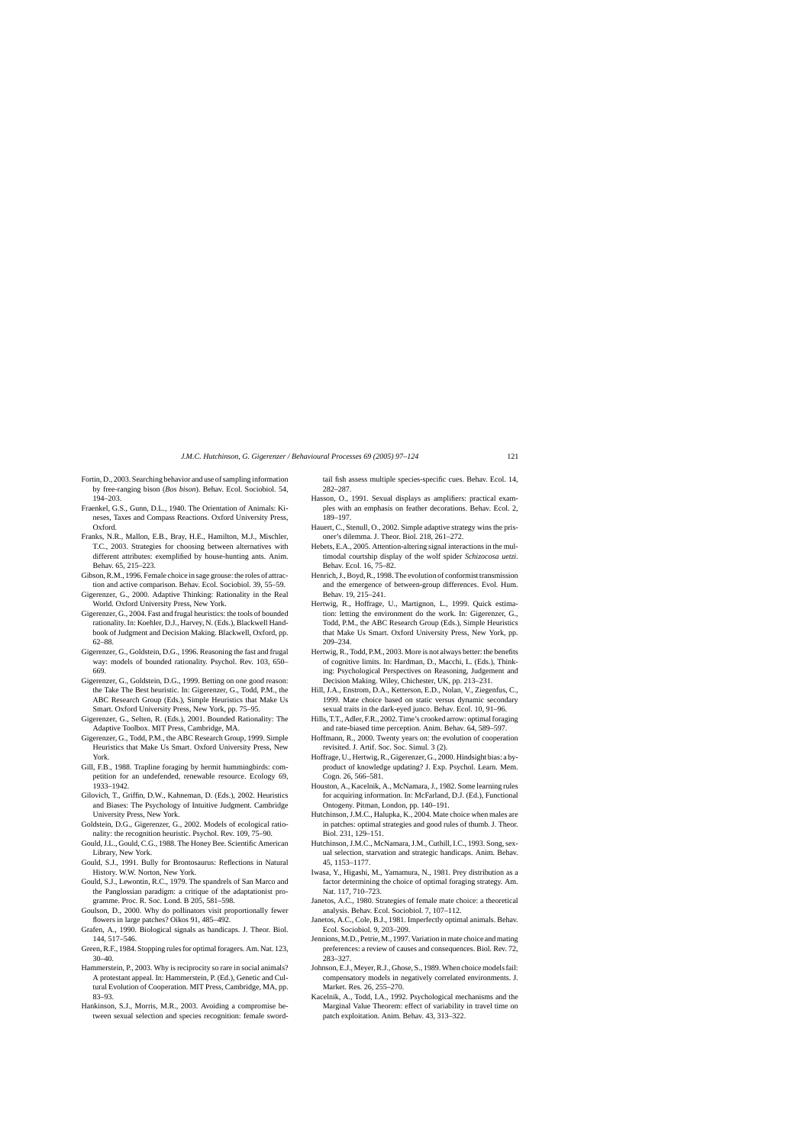- <span id="page-24-0"></span>Fortin, D., 2003. Searching behavior and use of sampling information by free-ranging bison (*Bos bison*). Behav. Ecol. Sociobiol. 54, 194–203.
- Fraenkel, G.S., Gunn, D.L., 1940. The Orientation of Animals: Kineses, Taxes and Compass Reactions. Oxford University Press, Oxford.
- Franks, N.R., Mallon, E.B., Bray, H.E., Hamilton, M.J., Mischler, T.C., 2003. Strategies for choosing between alternatives with different attributes: exemplified by house-hunting ants. Anim. Behav. 65, 215–223.
- Gibson, R.M., 1996. Female choice in sage grouse: the roles of attraction and active comparison. Behav. Ecol. Sociobiol. 39, 55–59.
- Gigerenzer, G., 2000. Adaptive Thinking: Rationality in the Real World. Oxford University Press, New York.
- Gigerenzer, G., 2004. Fast and frugal heuristics: the tools of bounded rationality. In: Koehler, D.J., Harvey, N. (Eds.), Blackwell Handbook of Judgment and Decision Making. Blackwell, Oxford, pp. 62–88.
- Gigerenzer, G., Goldstein, D.G., 1996. Reasoning the fast and frugal way: models of bounded rationality. Psychol. Rev. 103, 650– 669.
- Gigerenzer, G., Goldstein, D.G., 1999. Betting on one good reason: the Take The Best heuristic. In: Gigerenzer, G., Todd, P.M., the ABC Research Group (Eds.), Simple Heuristics that Make Us Smart. Oxford University Press, New York, pp. 75–95.
- Gigerenzer, G., Selten, R. (Eds.), 2001. Bounded Rationality: The Adaptive Toolbox. MIT Press, Cambridge, MA.
- Gigerenzer, G., Todd, P.M., the ABC Research Group, 1999. Simple Heuristics that Make Us Smart. Oxford University Press, New York.
- Gill, F.B., 1988. Trapline foraging by hermit hummingbirds: competition for an undefended, renewable resource. Ecology 69, 1933–1942.
- Gilovich, T., Griffin, D.W., Kahneman, D. (Eds.), 2002. Heuristics and Biases: The Psychology of Intuitive Judgment. Cambridge University Press, New York.
- Goldstein, D.G., Gigerenzer, G., 2002. Models of ecological rationality: the recognition heuristic. Psychol. Rev. 109, 75–90.
- Gould, J.L., Gould, C.G., 1988. The Honey Bee. Scientific American Library, New York.
- Gould, S.J., 1991. Bully for Brontosaurus: Reflections in Natural History. W.W. Norton, New York.
- Gould, S.J., Lewontin, R.C., 1979. The spandrels of San Marco and the Panglossian paradigm: a critique of the adaptationist programme. Proc. R. Soc. Lond. B 205, 581–598.
- Goulson, D., 2000. Why do pollinators visit proportionally fewer flowers in large patches? Oikos 91, 485–492.
- Grafen, A., 1990. Biological signals as handicaps. J. Theor. Biol. 144, 517–546.
- Green, R.F., 1984. Stopping rules for optimal foragers. Am. Nat. 123, 30–40.
- Hammerstein, P., 2003. Why is reciprocity so rare in social animals? A protestant appeal. In: Hammerstein, P. (Ed.), Genetic and Cultural Evolution of Cooperation. MIT Press, Cambridge, MA, pp. 83–93.
- Hankinson, S.J., Morris, M.R., 2003. Avoiding a compromise between sexual selection and species recognition: female sword-

tail fish assess multiple species-specific cues. Behav. Ecol. 14, 282–287.

- Hasson, O., 1991. Sexual displays as amplifiers: practical examples with an emphasis on feather decorations. Behav. Ecol. 2, 189–197.
- Hauert, C., Stenull, O., 2002. Simple adaptive strategy wins the prisoner's dilemma. J. Theor. Biol. 218, 261–272.
- Hebets, E.A., 2005. Attention-altering signal interactions in the multimodal courtship display of the wolf spider *Schizocosa uetzi*. Behav. Ecol. 16, 75–82.
- Henrich, J., Boyd, R., 1998. The evolution of conformist transmission and the emergence of between-group differences. Evol. Hum. Behav. 19, 215–241.
- Hertwig, R., Hoffrage, U., Martignon, L., 1999. Quick estimation: letting the environment do the work. In: Gigerenzer, G., Todd, P.M., the ABC Research Group (Eds.), Simple Heuristics that Make Us Smart. Oxford University Press, New York, pp. 209–234.
- Hertwig, R., Todd, P.M., 2003. More is not always better: the benefits of cognitive limits. In: Hardman, D., Macchi, L. (Eds.), Thinking: Psychological Perspectives on Reasoning, Judgement and Decision Making. Wiley, Chichester, UK, pp. 213–231.
- Hill, J.A., Enstrom, D.A., Ketterson, E.D., Nolan, V., Ziegenfus, C., 1999. Mate choice based on static versus dynamic secondary sexual traits in the dark-eyed junco. Behav. Ecol. 10, 91–96.
- Hills, T.T., Adler, F.R., 2002. Time's crooked arrow: optimal foraging and rate-biased time perception. Anim. Behav. 64, 589–597.
- Hoffmann, R., 2000. Twenty years on: the evolution of cooperation revisited. J. Artif. Soc. Soc. Simul. 3 (2).
- Hoffrage, U., Hertwig, R., Gigerenzer, G., 2000. Hindsight bias: a byproduct of knowledge updating? J. Exp. Psychol. Learn. Mem. Cogn. 26, 566–581.
- Houston, A., Kacelnik, A., McNamara, J., 1982. Some learning rules for acquiring information. In: McFarland, D.J. (Ed.), Functional Ontogeny. Pitman, London, pp. 140–191.
- Hutchinson, J.M.C., Halupka, K., 2004. Mate choice when males are in patches: optimal strategies and good rules of thumb. J. Theor. Biol. 231, 129–151.
- Hutchinson, J.M.C., McNamara, J.M., Cuthill, I.C., 1993. Song, sexual selection, starvation and strategic handicaps. Anim. Behav. 45, 1153–1177.
- Iwasa, Y., Higashi, M., Yamamura, N., 1981. Prey distribution as a factor determining the choice of optimal foraging strategy. Am. Nat. 117, 710–723.
- Janetos, A.C., 1980. Strategies of female mate choice: a theoretical analysis. Behav. Ecol. Sociobiol. 7, 107–112.
- Janetos, A.C., Cole, B.J., 1981. Imperfectly optimal animals. Behav. Ecol. Sociobiol. 9, 203–209.
- Jennions, M.D., Petrie, M., 1997. Variation in mate choice and mating preferences: a review of causes and consequences. Biol. Rev. 72, 283–327.
- Johnson, E.J., Meyer, R.J., Ghose, S., 1989. When choice models fail: compensatory models in negatively correlated environments. J. Market. Res. 26, 255–270.
- Kacelnik, A., Todd, I.A., 1992. Psychological mechanisms and the Marginal Value Theorem: effect of variability in travel time on patch exploitation. Anim. Behav. 43, 313–322.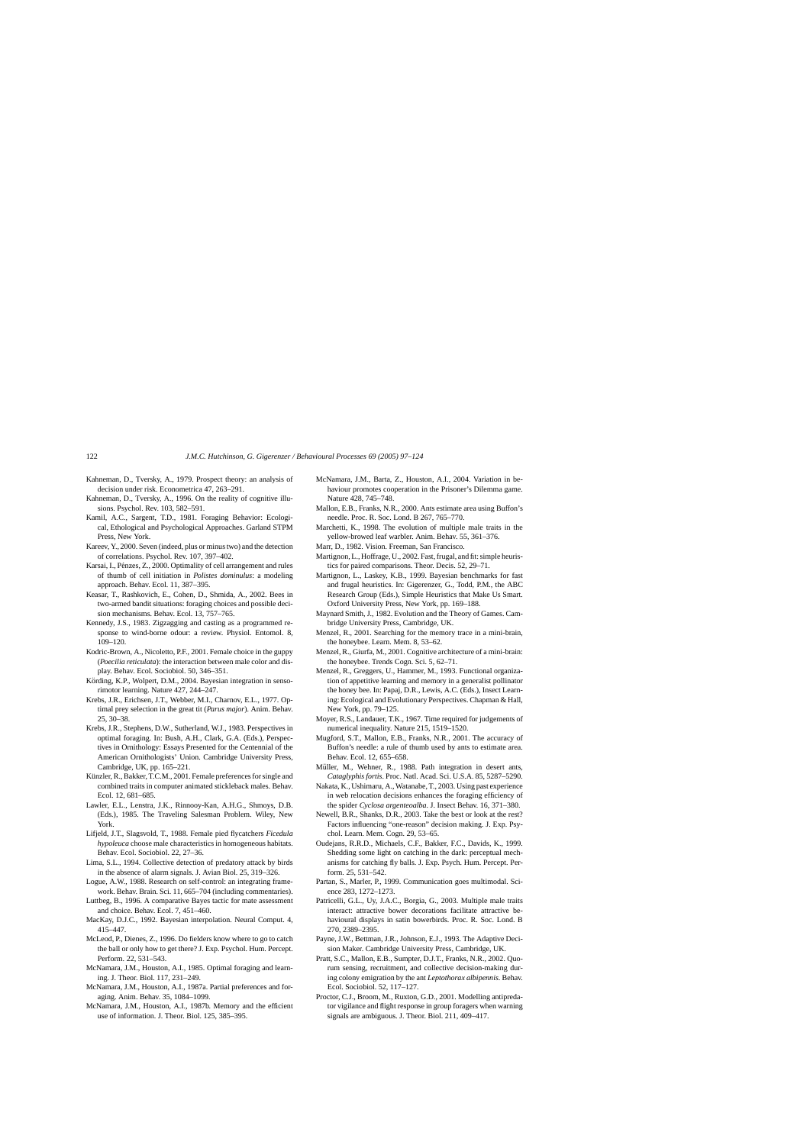- <span id="page-25-0"></span>Kahneman, D., Tversky, A., 1979. Prospect theory: an analysis of decision under risk. Econometrica 47, 263–291.
- Kahneman, D., Tversky, A., 1996. On the reality of cognitive illusions. Psychol. Rev. 103, 582–591.
- Kamil, A.C., Sargent, T.D., 1981. Foraging Behavior: Ecological, Ethological and Psychological Approaches. Garland STPM Press, New York.
- Kareev, Y., 2000. Seven (indeed, plus or minus two) and the detection of correlations. Psychol. Rev. 107, 397–402.
- Karsai, I., Pénzes, Z., 2000. Optimality of cell arrangement and rules of thumb of cell initiation in *Polistes dominulus*: a modeling approach. Behav. Ecol. 11, 387–395.
- Keasar, T., Rashkovich, E., Cohen, D., Shmida, A., 2002. Bees in two-armed bandit situations: foraging choices and possible decision mechanisms. Behav. Ecol. 13, 757–765.
- Kennedy, J.S., 1983. Zigzagging and casting as a programmed response to wind-borne odour: a review. Physiol. Entomol. 8, 109–120.
- Kodric-Brown, A., Nicoletto, P.F., 2001. Female choice in the guppy (*Poecilia reticulata*): the interaction between male color and display. Behav. Ecol. Sociobiol. 50, 346–351.
- Körding, K.P., Wolpert, D.M., 2004. Bayesian integration in sensorimotor learning. Nature 427, 244–247.
- Krebs, J.R., Erichsen, J.T., Webber, M.I., Charnov, E.L., 1977. Optimal prey selection in the great tit (*Parus major*). Anim. Behav. 25, 30–38.
- Krebs, J.R., Stephens, D.W., Sutherland, W.J., 1983. Perspectives in optimal foraging. In: Bush, A.H., Clark, G.A. (Eds.), Perspectives in Ornithology: Essays Presented for the Centennial of the American Ornithologists' Union. Cambridge University Press, Cambridge, UK, pp. 165–221.
- Künzler, R., Bakker, T.C.M., 2001. Female preferences for single and combined traits in computer animated stickleback males. Behav. Ecol. 12, 681–685.
- Lawler, E.L., Lenstra, J.K., Rinnooy-Kan, A.H.G., Shmoys, D.B. (Eds.), 1985. The Traveling Salesman Problem. Wiley, New York.
- Lifjeld, J.T., Slagsvold, T., 1988. Female pied flycatchers *Ficedula hypoleuca* choose male characteristics in homogeneous habitats. Behav. Ecol. Sociobiol. 22, 27–36.
- Lima, S.L., 1994. Collective detection of predatory attack by birds in the absence of alarm signals. J. Avian Biol. 25, 319–326.
- Logue, A.W., 1988. Research on self-control: an integrating framework. Behav. Brain. Sci. 11, 665–704 (including commentaries).
- Luttbeg, B., 1996. A comparative Bayes tactic for mate assessment and choice. Behav. Ecol. 7, 451–460.
- MacKay, D.J.C., 1992. Bayesian interpolation. Neural Comput. 4, 415–447.
- McLeod, P., Dienes, Z., 1996. Do fielders know where to go to catch the ball or only how to get there? J. Exp. Psychol. Hum. Percept. Perform. 22, 531–543.
- McNamara, J.M., Houston, A.I., 1985. Optimal foraging and learning. J. Theor. Biol. 117, 231–249.
- McNamara, J.M., Houston, A.I., 1987a. Partial preferences and foraging. Anim. Behav. 35, 1084–1099.
- McNamara, J.M., Houston, A.I., 1987b. Memory and the efficient use of information. J. Theor. Biol. 125, 385–395.
- McNamara, J.M., Barta, Z., Houston, A.I., 2004. Variation in behaviour promotes cooperation in the Prisoner's Dilemma game. Nature 428, 745–748.
- Mallon, E.B., Franks, N.R., 2000. Ants estimate area using Buffon's needle. Proc. R. Soc. Lond. B 267, 765–770.
- Marchetti, K., 1998. The evolution of multiple male traits in the yellow-browed leaf warbler. Anim. Behav. 55, 361–376.
- Marr, D., 1982. Vision. Freeman, San Francisco.
- Martignon, L., Hoffrage, U., 2002. Fast, frugal, and fit: simple heuristics for paired comparisons. Theor. Decis. 52, 29–71.
- Martignon, L., Laskey, K.B., 1999. Bayesian benchmarks for fast and frugal heuristics. In: Gigerenzer, G., Todd, P.M., the ABC Research Group (Eds.), Simple Heuristics that Make Us Smart. Oxford University Press, New York, pp. 169–188.
- Maynard Smith, J., 1982. Evolution and the Theory of Games. Cambridge University Press, Cambridge, UK.
- Menzel, R., 2001. Searching for the memory trace in a mini-brain, the honeybee. Learn. Mem. 8, 53–62.
- Menzel, R., Giurfa, M., 2001. Cognitive architecture of a mini-brain: the honeybee. Trends Cogn. Sci. 5, 62–71.
- Menzel, R., Greggers, U., Hammer, M., 1993. Functional organization of appetitive learning and memory in a generalist pollinator the honey bee. In: Papaj, D.R., Lewis, A.C. (Eds.), Insect Learning: Ecological and Evolutionary Perspectives. Chapman & Hall, New York, pp. 79–125.
- Moyer, R.S., Landauer, T.K., 1967. Time required for judgements of numerical inequality. Nature 215, 1519–1520.
- Mugford, S.T., Mallon, E.B., Franks, N.R., 2001. The accuracy of Buffon's needle: a rule of thumb used by ants to estimate area. Behav. Ecol. 12, 655–658.
- Müller, M., Wehner, R., 1988. Path integration in desert ants, *Cataglyphis fortis*. Proc. Natl. Acad. Sci. U.S.A. 85, 5287–5290.
- Nakata, K., Ushimaru, A., Watanabe, T., 2003. Using past experience in web relocation decisions enhances the foraging efficiency of the spider *Cyclosa argenteoalba*. J. Insect Behav. 16, 371–380.
- Newell, B.R., Shanks, D.R., 2003. Take the best or look at the rest? Factors influencing "one-reason" decision making. J. Exp. Psychol. Learn. Mem. Cogn. 29, 53–65.
- Oudejans, R.R.D., Michaels, C.F., Bakker, F.C., Davids, K., 1999. Shedding some light on catching in the dark: perceptual mechanisms for catching fly balls. J. Exp. Psych. Hum. Percept. Perform. 25, 531–542.
- Partan, S., Marler, P., 1999. Communication goes multimodal. Science 283, 1272–1273.
- Patricelli, G.L., Uy, J.A.C., Borgia, G., 2003. Multiple male traits interact: attractive bower decorations facilitate attractive behavioural displays in satin bowerbirds. Proc. R. Soc. Lond. B 270, 2389–2395.
- Payne, J.W., Bettman, J.R., Johnson, E.J., 1993. The Adaptive Decision Maker. Cambridge University Press, Cambridge, UK.
- Pratt, S.C., Mallon, E.B., Sumpter, D.J.T., Franks, N.R., 2002. Quorum sensing, recruitment, and collective decision-making during colony emigration by the ant *Leptothorax albipennis*. Behav. Ecol. Sociobiol. 52, 117–127.
- Proctor, C.J., Broom, M., Ruxton, G.D., 2001. Modelling antipredator vigilance and flight response in group foragers when warning signals are ambiguous. J. Theor. Biol. 211, 409–417.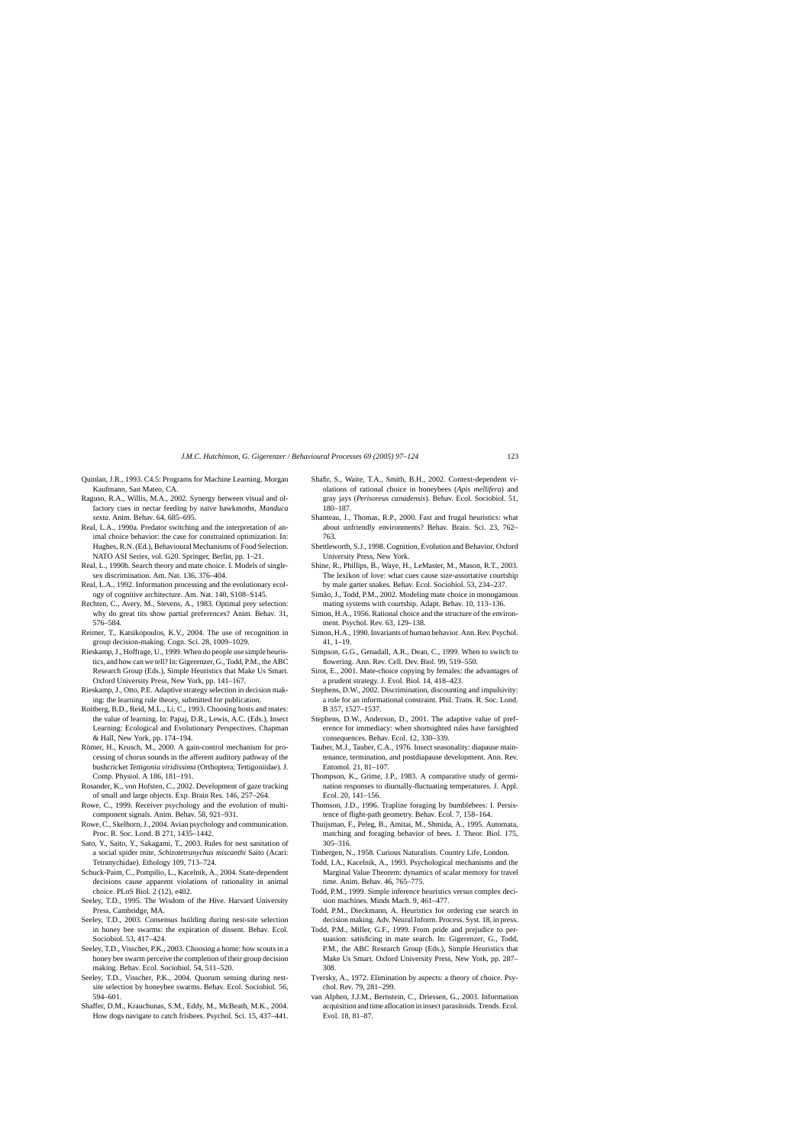- <span id="page-26-0"></span>Quinlan, J.R., 1993. C4.5: Programs for Machine Learning. Morgan Kaufmann, San Mateo, CA.
- Raguso, R.A., Willis, M.A., 2002. Synergy between visual and olfactory cues in nectar feeding by naïve hawkmoths, *Manduca sexta*. Anim. Behav. 64, 685–695.
- Real, L.A., 1990a. Predator switching and the interpretation of animal choice behavior: the case for constrained optimization. In: Hughes, R.N. (Ed.), Behavioural Mechanisms of Food Selection. NATO ASI Series, vol. G20. Springer, Berlin, pp. 1–21.
- Real, L., 1990b. Search theory and mate choice. I. Models of singlesex discrimination. Am. Nat. 136, 376–404.
- Real, L.A., 1992. Information processing and the evolutionary ecology of cognitive architecture. Am. Nat. 140, S108–S145.
- Rechten, C., Avery, M., Stevens, A., 1983. Optimal prey selection: why do great tits show partial preferences? Anim. Behav. 31, 576–584.
- Reimer, T., Katsikopoulos, K.V., 2004. The use of recognition in group decision-making. Cogn. Sci. 28, 1009–1029.
- Rieskamp, J., Hoffrage, U., 1999. When do people use simple heuristics, and how can we tell? In: Gigerenzer, G., Todd, P.M., the ABC Research Group (Eds.), Simple Heuristics that Make Us Smart. Oxford University Press, New York, pp. 141–167.
- Rieskamp, J., Otto, P.E. Adaptive strategy selection in decision making: the learning rule theory, submitted for publication.
- Roitberg, B.D., Reid, M.L., Li, C., 1993. Choosing hosts and mates: the value of learning. In: Papaj, D.R., Lewis, A.C. (Eds.), Insect Learning: Ecological and Evolutionary Perspectives. Chapman & Hall, New York, pp. 174–194.
- Römer, H., Krusch, M., 2000. A gain-control mechanism for processing of chorus sounds in the afferent auditory pathway of the bushcricket *Tettigonia viridissima* (Orthoptera; Tettigoniidae). J. Comp. Physiol. A 186, 181–191.
- Rosander, K., von Hofsten, C., 2002. Development of gaze tracking of small and large objects. Exp. Brain Res. 146, 257–264.
- Rowe, C., 1999. Receiver psychology and the evolution of multicomponent signals. Anim. Behav. 58, 921–931.
- Rowe, C., Skelhorn, J., 2004. Avian psychology and communication. Proc. R. Soc. Lond. B 271, 1435–1442.
- Sato, Y., Saito, Y., Sakagami, T., 2003. Rules for nest sanitation of a social spider mite, *Schizotetranychus miscanthi* Saito (Acari: Tetranychidae). Ethology 109, 713–724.
- Schuck-Paim, C., Pompilio, L., Kacelnik, A., 2004. State-dependent decisions cause apparent violations of rationality in animal choice. PLoS Biol. 2 (12), e402.
- Seeley, T.D., 1995. The Wisdom of the Hive. Harvard University Press, Cambridge, MA.
- Seeley, T.D., 2003. Consensus building during nest-site selection in honey bee swarms: the expiration of dissent. Behav. Ecol. Sociobiol. 53, 417–424.
- Seeley, T.D., Visscher, P.K., 2003. Choosing a home: how scouts in a honey bee swarm perceive the completion of their group decision making. Behav. Ecol. Sociobiol. 54, 511–520.
- Seeley, T.D., Visscher, P.K., 2004. Quorum sensing during nestsite selection by honeybee swarms. Behav. Ecol. Sociobiol. 56, 594–601.
- Shaffer, D.M., Krauchunas, S.M., Eddy, M., McBeath, M.K., 2004. How dogs navigate to catch frisbees. Psychol. Sci. 15, 437–441.
- Shafir, S., Waite, T.A., Smith, B.H., 2002. Context-dependent violations of rational choice in honeybees (*Apis mellifera*) and gray jays (*Perisoreus canadensis*). Behav. Ecol. Sociobiol. 51, 180–187.
- Shanteau, J., Thomas, R.P., 2000. Fast and frugal heuristics: what about unfriendly environments? Behav. Brain. Sci. 23, 762– 763.
- Shettleworth, S.J., 1998. Cognition, Evolution and Behavior. Oxford University Press, New York.
- Shine, R., Phillips, B., Waye, H., LeMaster, M., Mason, R.T., 2003. The lexikon of love: what cues cause size-assortative courtship by male garter snakes. Behav. Ecol. Sociobiol. 53, 234–237.
- Simão, J., Todd, P.M., 2002. Modeling mate choice in monogamous mating systems with courtship. Adapt. Behav. 10, 113–136.
- Simon, H.A., 1956. Rational choice and the structure of the environment. Psychol. Rev. 63, 129–138.
- Simon, H.A., 1990. Invariants of human behavior. Ann. Rev. Psychol. 41, 1–19.
- Simpson, G.G., Genadall, A.R., Dean, C., 1999. When to switch to flowering. Ann. Rev. Cell. Dev. Biol. 99, 519–550.
- Sirot, E., 2001. Mate-choice copying by females: the advantages of a prudent strategy. J. Evol. Biol. 14, 418–423.
- Stephens, D.W., 2002. Discrimination, discounting and impulsivity: a role for an informational constraint. Phil. Trans. R. Soc. Lond. B 357, 1527–1537.
- Stephens, D.W., Anderson, D., 2001. The adaptive value of preference for immediacy: when shortsighted rules have farsighted consequences. Behav. Ecol. 12, 330–339.
- Tauber, M.J., Tauber, C.A., 1976. Insect seasonality: diapause maintenance, termination, and postdiapause development. Ann. Rev. Entomol. 21, 81–107.
- Thompson, K., Grime, J.P., 1983. A comparative study of germination responses to diurnally-fluctuating temperatures. J. Appl. Ecol. 20, 141–156.
- Thomson, J.D., 1996. Trapline foraging by bumblebees: I. Persistence of flight-path geometry. Behav. Ecol. 7, 158–164.
- Thuijsman, F., Peleg, B., Amitai, M., Shmida, A., 1995. Automata, matching and foraging behavior of bees. J. Theor. Biol. 175, 305–316.
- Tinbergen, N., 1958. Curious Naturalists. Country Life, London.
- Todd, I.A., Kacelnik, A., 1993. Psychological mechanisms and the Marginal Value Theorem: dynamics of scalar memory for travel time. Anim. Behav. 46, 765–775.
- Todd, P.M., 1999. Simple inference heuristics versus complex decision machines. Minds Mach. 9, 461–477.
- Todd, P.M., Dieckmann, A. Heuristics for ordering cue search in decision making. Adv. Neural Inform. Process. Syst. 18, in press.
- Todd, P.M., Miller, G.F., 1999. From pride and prejudice to persuasion: satisficing in mate search. In: Gigerenzer, G., Todd, P.M., the ABC Research Group (Eds.), Simple Heuristics that Make Us Smart. Oxford University Press, New York, pp. 287– 308.
- Tversky, A., 1972. Elimination by aspects: a theory of choice. Psychol. Rev. 79, 281–299.
- van Alphen, J.J.M., Bernstein, C., Driessen, G., 2003. Information acquisition and time allocation in insect parasitoids. Trends. Ecol. Evol. 18, 81–87.